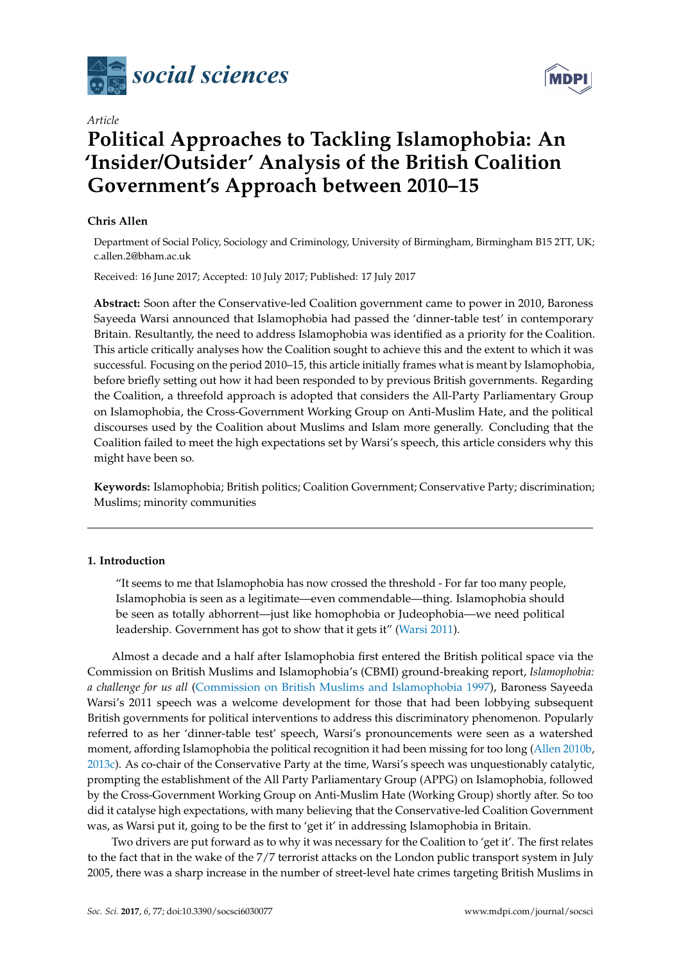



# *Article* **Political Approaches to Tackling Islamophobia: An 'Insider/Outsider' Analysis of the British Coalition Government's Approach between 2010–15**

# **Chris Allen**

Department of Social Policy, Sociology and Criminology, University of Birmingham, Birmingham B15 2TT, UK; c.allen.2@bham.ac.uk

Received: 16 June 2017; Accepted: 10 July 2017; Published: 17 July 2017

**Abstract:** Soon after the Conservative-led Coalition government came to power in 2010, Baroness Sayeeda Warsi announced that Islamophobia had passed the 'dinner-table test' in contemporary Britain. Resultantly, the need to address Islamophobia was identified as a priority for the Coalition. This article critically analyses how the Coalition sought to achieve this and the extent to which it was successful. Focusing on the period 2010–15, this article initially frames what is meant by Islamophobia, before briefly setting out how it had been responded to by previous British governments. Regarding the Coalition, a threefold approach is adopted that considers the All-Party Parliamentary Group on Islamophobia, the Cross-Government Working Group on Anti-Muslim Hate, and the political discourses used by the Coalition about Muslims and Islam more generally. Concluding that the Coalition failed to meet the high expectations set by Warsi's speech, this article considers why this might have been so.

**Keywords:** Islamophobia; British politics; Coalition Government; Conservative Party; discrimination; Muslims; minority communities

# **1. Introduction**

"It seems to me that Islamophobia has now crossed the threshold - For far too many people, Islamophobia is seen as a legitimate—even commendable—thing. Islamophobia should be seen as totally abhorrent—just like homophobia or Judeophobia—we need political leadership. Government has got to show that it gets it" [\(Warsi](#page-17-0) [2011\)](#page-17-0).

Almost a decade and a half after Islamophobia first entered the British political space via the Commission on British Muslims and Islamophobia's (CBMI) ground-breaking report, *Islamophobia: a challenge for us all* [\(Commission on British Muslims and Islamophobia](#page-15-0) [1997\)](#page-15-0), Baroness Sayeeda Warsi's 2011 speech was a welcome development for those that had been lobbying subsequent British governments for political interventions to address this discriminatory phenomenon. Popularly referred to as her 'dinner-table test' speech, Warsi's pronouncements were seen as a watershed moment, affording Islamophobia the political recognition it had been missing for too long [\(Allen](#page-14-0) [2010b,](#page-14-0) [2013c\)](#page-15-1). As co-chair of the Conservative Party at the time, Warsi's speech was unquestionably catalytic, prompting the establishment of the All Party Parliamentary Group (APPG) on Islamophobia, followed by the Cross-Government Working Group on Anti-Muslim Hate (Working Group) shortly after. So too did it catalyse high expectations, with many believing that the Conservative-led Coalition Government was, as Warsi put it, going to be the first to 'get it' in addressing Islamophobia in Britain.

Two drivers are put forward as to why it was necessary for the Coalition to 'get it'. The first relates to the fact that in the wake of the 7/7 terrorist attacks on the London public transport system in July 2005, there was a sharp increase in the number of street-level hate crimes targeting British Muslims in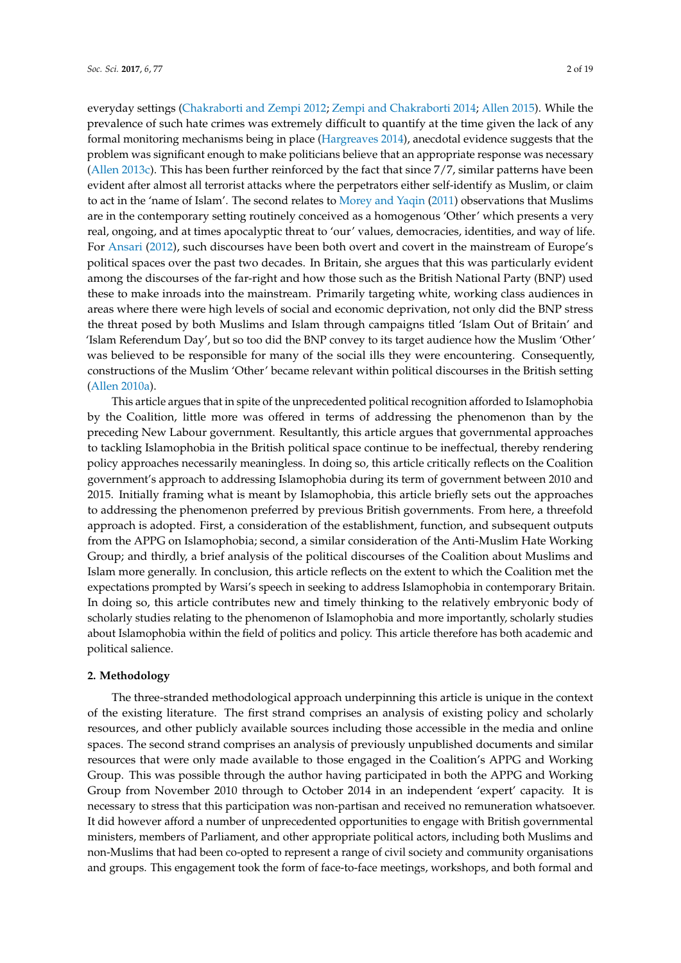everyday settings [\(Chakraborti and Zempi](#page-15-2) [2012;](#page-15-2) [Zempi and Chakraborti](#page-18-0) [2014;](#page-18-0) [Allen](#page-15-3) [2015\)](#page-15-3). While the prevalence of such hate crimes was extremely difficult to quantify at the time given the lack of any formal monitoring mechanisms being in place [\(Hargreaves](#page-16-0) [2014\)](#page-16-0), anecdotal evidence suggests that the problem was significant enough to make politicians believe that an appropriate response was necessary [\(Allen](#page-15-1) [2013c\)](#page-15-1). This has been further reinforced by the fact that since 7/7, similar patterns have been evident after almost all terrorist attacks where the perpetrators either self-identify as Muslim, or claim to act in the 'name of Islam'. The second relates to [Morey and Yaqin](#page-17-1) [\(2011\)](#page-17-1) observations that Muslims are in the contemporary setting routinely conceived as a homogenous 'Other' which presents a very real, ongoing, and at times apocalyptic threat to 'our' values, democracies, identities, and way of life. For [Ansari](#page-15-4) [\(2012\)](#page-15-4), such discourses have been both overt and covert in the mainstream of Europe's political spaces over the past two decades. In Britain, she argues that this was particularly evident among the discourses of the far-right and how those such as the British National Party (BNP) used these to make inroads into the mainstream. Primarily targeting white, working class audiences in areas where there were high levels of social and economic deprivation, not only did the BNP stress the threat posed by both Muslims and Islam through campaigns titled 'Islam Out of Britain' and 'Islam Referendum Day', but so too did the BNP convey to its target audience how the Muslim 'Other' was believed to be responsible for many of the social ills they were encountering. Consequently, constructions of the Muslim 'Other' became relevant within political discourses in the British setting [\(Allen](#page-14-1) [2010a\)](#page-14-1).

This article argues that in spite of the unprecedented political recognition afforded to Islamophobia by the Coalition, little more was offered in terms of addressing the phenomenon than by the preceding New Labour government. Resultantly, this article argues that governmental approaches to tackling Islamophobia in the British political space continue to be ineffectual, thereby rendering policy approaches necessarily meaningless. In doing so, this article critically reflects on the Coalition government's approach to addressing Islamophobia during its term of government between 2010 and 2015. Initially framing what is meant by Islamophobia, this article briefly sets out the approaches to addressing the phenomenon preferred by previous British governments. From here, a threefold approach is adopted. First, a consideration of the establishment, function, and subsequent outputs from the APPG on Islamophobia; second, a similar consideration of the Anti-Muslim Hate Working Group; and thirdly, a brief analysis of the political discourses of the Coalition about Muslims and Islam more generally. In conclusion, this article reflects on the extent to which the Coalition met the expectations prompted by Warsi's speech in seeking to address Islamophobia in contemporary Britain. In doing so, this article contributes new and timely thinking to the relatively embryonic body of scholarly studies relating to the phenomenon of Islamophobia and more importantly, scholarly studies about Islamophobia within the field of politics and policy. This article therefore has both academic and political salience.

#### **2. Methodology**

The three-stranded methodological approach underpinning this article is unique in the context of the existing literature. The first strand comprises an analysis of existing policy and scholarly resources, and other publicly available sources including those accessible in the media and online spaces. The second strand comprises an analysis of previously unpublished documents and similar resources that were only made available to those engaged in the Coalition's APPG and Working Group. This was possible through the author having participated in both the APPG and Working Group from November 2010 through to October 2014 in an independent 'expert' capacity. It is necessary to stress that this participation was non-partisan and received no remuneration whatsoever. It did however afford a number of unprecedented opportunities to engage with British governmental ministers, members of Parliament, and other appropriate political actors, including both Muslims and non-Muslims that had been co-opted to represent a range of civil society and community organisations and groups. This engagement took the form of face-to-face meetings, workshops, and both formal and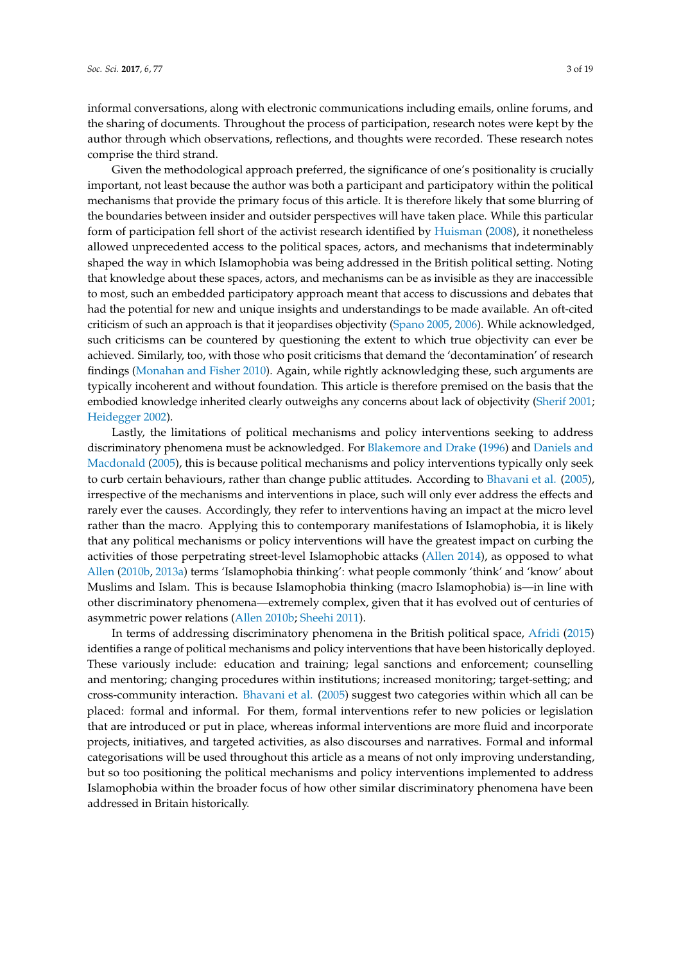informal conversations, along with electronic communications including emails, online forums, and the sharing of documents. Throughout the process of participation, research notes were kept by the author through which observations, reflections, and thoughts were recorded. These research notes comprise the third strand.

Given the methodological approach preferred, the significance of one's positionality is crucially important, not least because the author was both a participant and participatory within the political mechanisms that provide the primary focus of this article. It is therefore likely that some blurring of the boundaries between insider and outsider perspectives will have taken place. While this particular form of participation fell short of the activist research identified by [Huisman](#page-16-1) [\(2008\)](#page-16-1), it nonetheless allowed unprecedented access to the political spaces, actors, and mechanisms that indeterminably shaped the way in which Islamophobia was being addressed in the British political setting. Noting that knowledge about these spaces, actors, and mechanisms can be as invisible as they are inaccessible to most, such an embedded participatory approach meant that access to discussions and debates that had the potential for new and unique insights and understandings to be made available. An oft-cited criticism of such an approach is that it jeopardises objectivity [\(Spano](#page-17-2) [2005,](#page-17-2) [2006\)](#page-17-3). While acknowledged, such criticisms can be countered by questioning the extent to which true objectivity can ever be achieved. Similarly, too, with those who posit criticisms that demand the 'decontamination' of research findings [\(Monahan and Fisher](#page-16-2) [2010\)](#page-16-2). Again, while rightly acknowledging these, such arguments are typically incoherent and without foundation. This article is therefore premised on the basis that the embodied knowledge inherited clearly outweighs any concerns about lack of objectivity [\(Sherif](#page-17-4) [2001;](#page-17-4) [Heidegger](#page-16-3) [2002\)](#page-16-3).

Lastly, the limitations of political mechanisms and policy interventions seeking to address discriminatory phenomena must be acknowledged. For [Blakemore and Drake](#page-15-5) [\(1996\)](#page-15-5) and [Daniels and](#page-15-6) [Macdonald](#page-15-6) [\(2005\)](#page-15-6), this is because political mechanisms and policy interventions typically only seek to curb certain behaviours, rather than change public attitudes. According to [Bhavani et al.](#page-15-7) [\(2005\)](#page-15-7), irrespective of the mechanisms and interventions in place, such will only ever address the effects and rarely ever the causes. Accordingly, they refer to interventions having an impact at the micro level rather than the macro. Applying this to contemporary manifestations of Islamophobia, it is likely that any political mechanisms or policy interventions will have the greatest impact on curbing the activities of those perpetrating street-level Islamophobic attacks [\(Allen](#page-15-8) [2014\)](#page-15-8), as opposed to what [Allen](#page-14-0) [\(2010b,](#page-14-0) [2013a\)](#page-15-9) terms 'Islamophobia thinking': what people commonly 'think' and 'know' about Muslims and Islam. This is because Islamophobia thinking (macro Islamophobia) is—in line with other discriminatory phenomena—extremely complex, given that it has evolved out of centuries of asymmetric power relations [\(Allen](#page-14-0) [2010b;](#page-14-0) [Sheehi](#page-17-5) [2011\)](#page-17-5).

In terms of addressing discriminatory phenomena in the British political space, [Afridi](#page-14-2) [\(2015\)](#page-14-2) identifies a range of political mechanisms and policy interventions that have been historically deployed. These variously include: education and training; legal sanctions and enforcement; counselling and mentoring; changing procedures within institutions; increased monitoring; target-setting; and cross-community interaction. [Bhavani et al.](#page-15-7) [\(2005\)](#page-15-7) suggest two categories within which all can be placed: formal and informal. For them, formal interventions refer to new policies or legislation that are introduced or put in place, whereas informal interventions are more fluid and incorporate projects, initiatives, and targeted activities, as also discourses and narratives. Formal and informal categorisations will be used throughout this article as a means of not only improving understanding, but so too positioning the political mechanisms and policy interventions implemented to address Islamophobia within the broader focus of how other similar discriminatory phenomena have been addressed in Britain historically.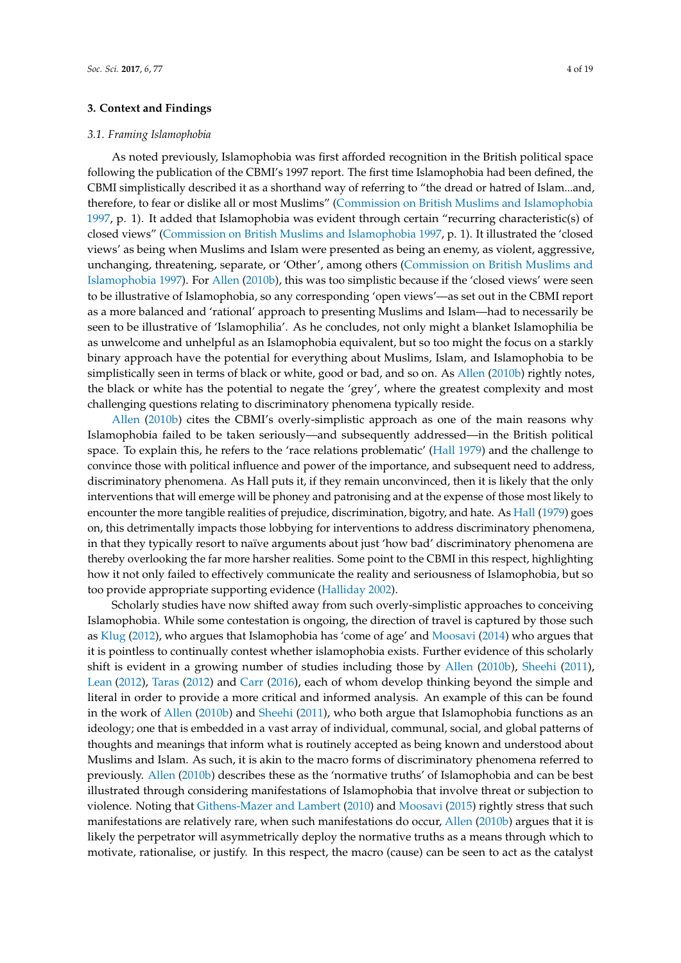# **3. Context and Findings**

#### *3.1. Framing Islamophobia*

As noted previously, Islamophobia was first afforded recognition in the British political space following the publication of the CBMI's 1997 report. The first time Islamophobia had been defined, the CBMI simplistically described it as a shorthand way of referring to "the dread or hatred of Islam...and, therefore, to fear or dislike all or most Muslims" [\(Commission on British Muslims and Islamophobia](#page-15-0) [1997,](#page-15-0) p. 1). It added that Islamophobia was evident through certain "recurring characteristic(s) of closed views" [\(Commission on British Muslims and Islamophobia](#page-15-0) [1997,](#page-15-0) p. 1). It illustrated the 'closed views' as being when Muslims and Islam were presented as being an enemy, as violent, aggressive, unchanging, threatening, separate, or 'Other', among others [\(Commission on British Muslims and](#page-15-0) [Islamophobia](#page-15-0) [1997\)](#page-15-0). For [Allen](#page-14-0) [\(2010b\)](#page-14-0), this was too simplistic because if the 'closed views' were seen to be illustrative of Islamophobia, so any corresponding 'open views'—as set out in the CBMI report as a more balanced and 'rational' approach to presenting Muslims and Islam—had to necessarily be seen to be illustrative of 'Islamophilia'. As he concludes, not only might a blanket Islamophilia be as unwelcome and unhelpful as an Islamophobia equivalent, but so too might the focus on a starkly binary approach have the potential for everything about Muslims, Islam, and Islamophobia to be simplistically seen in terms of black or white, good or bad, and so on. As [Allen](#page-14-0) [\(2010b\)](#page-14-0) rightly notes, the black or white has the potential to negate the 'grey', where the greatest complexity and most challenging questions relating to discriminatory phenomena typically reside.

[Allen](#page-14-0) [\(2010b\)](#page-14-0) cites the CBMI's overly-simplistic approach as one of the main reasons why Islamophobia failed to be taken seriously—and subsequently addressed—in the British political space. To explain this, he refers to the 'race relations problematic' [\(Hall](#page-16-4) [1979\)](#page-16-4) and the challenge to convince those with political influence and power of the importance, and subsequent need to address, discriminatory phenomena. As Hall puts it, if they remain unconvinced, then it is likely that the only interventions that will emerge will be phoney and patronising and at the expense of those most likely to encounter the more tangible realities of prejudice, discrimination, bigotry, and hate. As [Hall](#page-16-4) [\(1979\)](#page-16-4) goes on, this detrimentally impacts those lobbying for interventions to address discriminatory phenomena, in that they typically resort to naïve arguments about just 'how bad' discriminatory phenomena are thereby overlooking the far more harsher realities. Some point to the CBMI in this respect, highlighting how it not only failed to effectively communicate the reality and seriousness of Islamophobia, but so too provide appropriate supporting evidence [\(Halliday](#page-16-5) [2002\)](#page-16-5).

Scholarly studies have now shifted away from such overly-simplistic approaches to conceiving Islamophobia. While some contestation is ongoing, the direction of travel is captured by those such as [Klug](#page-16-6) [\(2012\)](#page-16-6), who argues that Islamophobia has 'come of age' and [Moosavi](#page-16-7) [\(2014\)](#page-16-7) who argues that it is pointless to continually contest whether islamophobia exists. Further evidence of this scholarly shift is evident in a growing number of studies including those by [Allen](#page-14-0) [\(2010b\)](#page-14-0), [Sheehi](#page-17-5) [\(2011\)](#page-17-5), [Lean](#page-16-8) [\(2012\)](#page-16-8), [Taras](#page-17-6) [\(2012\)](#page-17-6) and [Carr](#page-15-10) [\(2016\)](#page-15-10), each of whom develop thinking beyond the simple and literal in order to provide a more critical and informed analysis. An example of this can be found in the work of [Allen](#page-14-0) [\(2010b\)](#page-14-0) and [Sheehi](#page-17-5) [\(2011\)](#page-17-5), who both argue that Islamophobia functions as an ideology; one that is embedded in a vast array of individual, communal, social, and global patterns of thoughts and meanings that inform what is routinely accepted as being known and understood about Muslims and Islam. As such, it is akin to the macro forms of discriminatory phenomena referred to previously. [Allen](#page-14-0) [\(2010b\)](#page-14-0) describes these as the 'normative truths' of Islamophobia and can be best illustrated through considering manifestations of Islamophobia that involve threat or subjection to violence. Noting that [Githens-Mazer and Lambert](#page-16-9) [\(2010\)](#page-16-9) and [Moosavi](#page-16-10) [\(2015\)](#page-16-10) rightly stress that such manifestations are relatively rare, when such manifestations do occur, [Allen](#page-14-0) [\(2010b\)](#page-14-0) argues that it is likely the perpetrator will asymmetrically deploy the normative truths as a means through which to motivate, rationalise, or justify. In this respect, the macro (cause) can be seen to act as the catalyst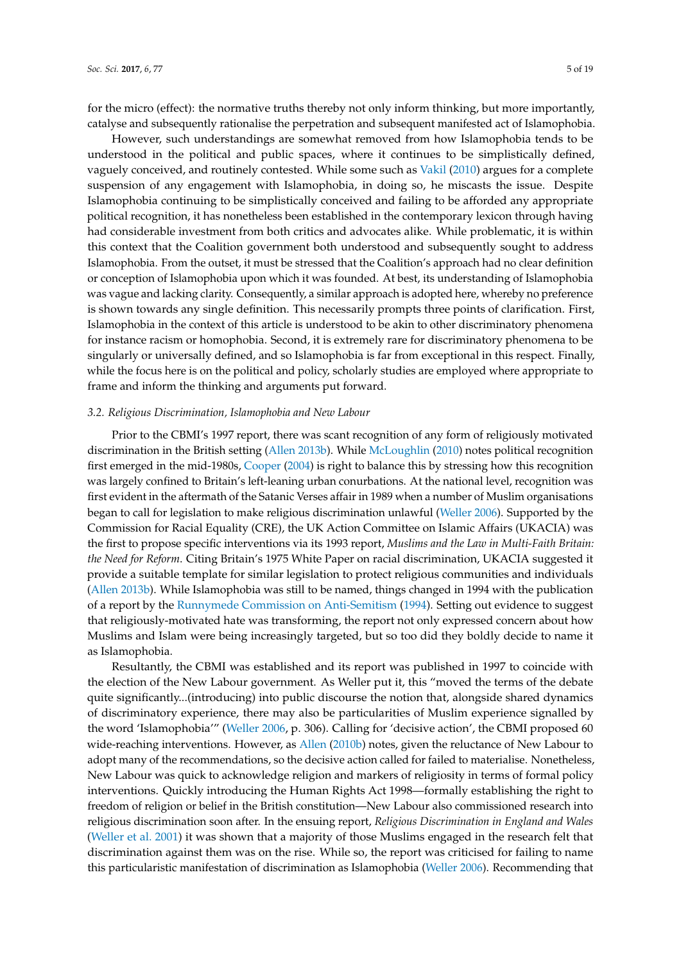for the micro (effect): the normative truths thereby not only inform thinking, but more importantly, catalyse and subsequently rationalise the perpetration and subsequent manifested act of Islamophobia.

However, such understandings are somewhat removed from how Islamophobia tends to be understood in the political and public spaces, where it continues to be simplistically defined, vaguely conceived, and routinely contested. While some such as [Vakil](#page-17-7) [\(2010\)](#page-17-7) argues for a complete suspension of any engagement with Islamophobia, in doing so, he miscasts the issue. Despite Islamophobia continuing to be simplistically conceived and failing to be afforded any appropriate political recognition, it has nonetheless been established in the contemporary lexicon through having had considerable investment from both critics and advocates alike. While problematic, it is within this context that the Coalition government both understood and subsequently sought to address Islamophobia. From the outset, it must be stressed that the Coalition's approach had no clear definition or conception of Islamophobia upon which it was founded. At best, its understanding of Islamophobia was vague and lacking clarity. Consequently, a similar approach is adopted here, whereby no preference is shown towards any single definition. This necessarily prompts three points of clarification. First, Islamophobia in the context of this article is understood to be akin to other discriminatory phenomena for instance racism or homophobia. Second, it is extremely rare for discriminatory phenomena to be singularly or universally defined, and so Islamophobia is far from exceptional in this respect. Finally, while the focus here is on the political and policy, scholarly studies are employed where appropriate to frame and inform the thinking and arguments put forward.

#### *3.2. Religious Discrimination, Islamophobia and New Labour*

Prior to the CBMI's 1997 report, there was scant recognition of any form of religiously motivated discrimination in the British setting [\(Allen](#page-15-11) [2013b\)](#page-15-11). While [McLoughlin](#page-16-11) [\(2010\)](#page-16-11) notes political recognition first emerged in the mid-1980s, [Cooper](#page-15-12) [\(2004\)](#page-15-12) is right to balance this by stressing how this recognition was largely confined to Britain's left-leaning urban conurbations. At the national level, recognition was first evident in the aftermath of the Satanic Verses affair in 1989 when a number of Muslim organisations began to call for legislation to make religious discrimination unlawful [\(Weller](#page-18-1) [2006\)](#page-18-1). Supported by the Commission for Racial Equality (CRE), the UK Action Committee on Islamic Affairs (UKACIA) was the first to propose specific interventions via its 1993 report, *Muslims and the Law in Multi-Faith Britain: the Need for Reform*. Citing Britain's 1975 White Paper on racial discrimination, UKACIA suggested it provide a suitable template for similar legislation to protect religious communities and individuals [\(Allen](#page-15-11) [2013b\)](#page-15-11). While Islamophobia was still to be named, things changed in 1994 with the publication of a report by the [Runnymede Commission on Anti-Semitism](#page-17-8) [\(1994\)](#page-17-8). Setting out evidence to suggest that religiously-motivated hate was transforming, the report not only expressed concern about how Muslims and Islam were being increasingly targeted, but so too did they boldly decide to name it as Islamophobia.

Resultantly, the CBMI was established and its report was published in 1997 to coincide with the election of the New Labour government. As Weller put it, this "moved the terms of the debate quite significantly...(introducing) into public discourse the notion that, alongside shared dynamics of discriminatory experience, there may also be particularities of Muslim experience signalled by the word 'Islamophobia'" [\(Weller](#page-18-1) [2006,](#page-18-1) p. 306). Calling for 'decisive action', the CBMI proposed 60 wide-reaching interventions. However, as [Allen](#page-14-0) [\(2010b\)](#page-14-0) notes, given the reluctance of New Labour to adopt many of the recommendations, so the decisive action called for failed to materialise. Nonetheless, New Labour was quick to acknowledge religion and markers of religiosity in terms of formal policy interventions. Quickly introducing the Human Rights Act 1998—formally establishing the right to freedom of religion or belief in the British constitution—New Labour also commissioned research into religious discrimination soon after. In the ensuing report, *Religious Discrimination in England and Wales* [\(Weller et al.](#page-18-2) [2001\)](#page-18-2) it was shown that a majority of those Muslims engaged in the research felt that discrimination against them was on the rise. While so, the report was criticised for failing to name this particularistic manifestation of discrimination as Islamophobia [\(Weller](#page-18-1) [2006\)](#page-18-1). Recommending that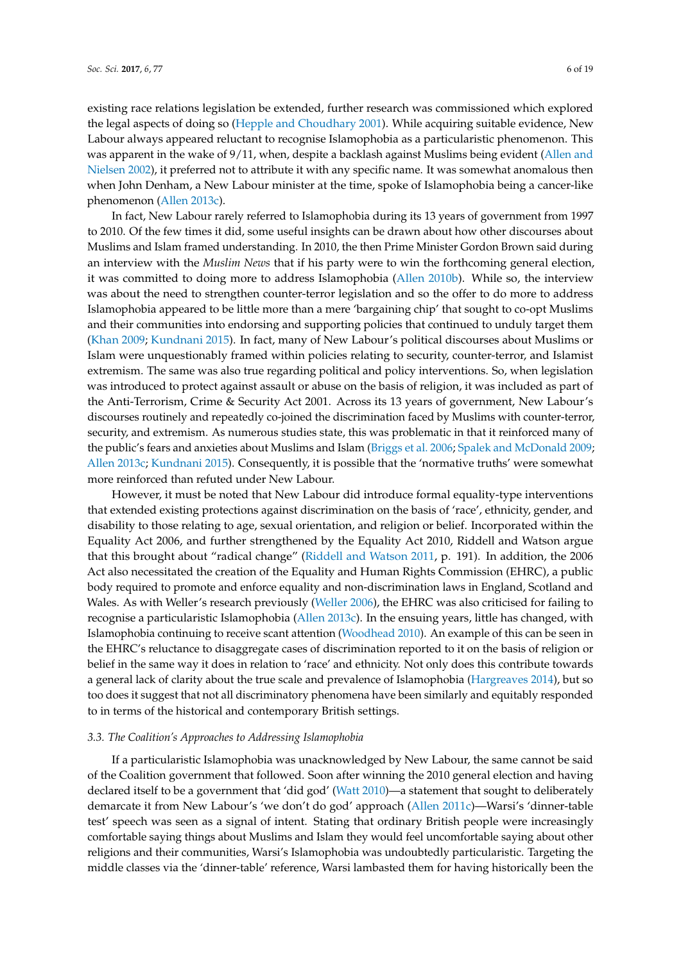existing race relations legislation be extended, further research was commissioned which explored the legal aspects of doing so [\(Hepple and Choudhary](#page-16-12) [2001\)](#page-16-12). While acquiring suitable evidence, New Labour always appeared reluctant to recognise Islamophobia as a particularistic phenomenon. This was apparent in the wake of 9/11, when, despite a backlash against Muslims being evident [\(Allen and](#page-14-3) [Nielsen](#page-14-3) [2002\)](#page-14-3), it preferred not to attribute it with any specific name. It was somewhat anomalous then when John Denham, a New Labour minister at the time, spoke of Islamophobia being a cancer-like phenomenon [\(Allen](#page-15-1) [2013c\)](#page-15-1).

In fact, New Labour rarely referred to Islamophobia during its 13 years of government from 1997 to 2010. Of the few times it did, some useful insights can be drawn about how other discourses about Muslims and Islam framed understanding. In 2010, the then Prime Minister Gordon Brown said during an interview with the *Muslim News* that if his party were to win the forthcoming general election, it was committed to doing more to address Islamophobia [\(Allen](#page-14-0) [2010b\)](#page-14-0). While so, the interview was about the need to strengthen counter-terror legislation and so the offer to do more to address Islamophobia appeared to be little more than a mere 'bargaining chip' that sought to co-opt Muslims and their communities into endorsing and supporting policies that continued to unduly target them [\(Khan](#page-16-13) [2009;](#page-16-13) [Kundnani](#page-16-14) [2015\)](#page-16-14). In fact, many of New Labour's political discourses about Muslims or Islam were unquestionably framed within policies relating to security, counter-terror, and Islamist extremism. The same was also true regarding political and policy interventions. So, when legislation was introduced to protect against assault or abuse on the basis of religion, it was included as part of the Anti-Terrorism, Crime & Security Act 2001. Across its 13 years of government, New Labour's discourses routinely and repeatedly co-joined the discrimination faced by Muslims with counter-terror, security, and extremism. As numerous studies state, this was problematic in that it reinforced many of the public's fears and anxieties about Muslims and Islam [\(Briggs et al.](#page-15-13) [2006;](#page-15-13) [Spalek and McDonald](#page-17-9) [2009;](#page-17-9) [Allen](#page-15-1) [2013c;](#page-15-1) [Kundnani](#page-16-14) [2015\)](#page-16-14). Consequently, it is possible that the 'normative truths' were somewhat more reinforced than refuted under New Labour.

However, it must be noted that New Labour did introduce formal equality-type interventions that extended existing protections against discrimination on the basis of 'race', ethnicity, gender, and disability to those relating to age, sexual orientation, and religion or belief. Incorporated within the Equality Act 2006, and further strengthened by the Equality Act 2010, Riddell and Watson argue that this brought about "radical change" [\(Riddell and Watson](#page-17-10) [2011,](#page-17-10) p. 191). In addition, the 2006 Act also necessitated the creation of the Equality and Human Rights Commission (EHRC), a public body required to promote and enforce equality and non-discrimination laws in England, Scotland and Wales. As with Weller's research previously [\(Weller](#page-18-1) [2006\)](#page-18-1), the EHRC was also criticised for failing to recognise a particularistic Islamophobia [\(Allen](#page-15-1) [2013c\)](#page-15-1). In the ensuing years, little has changed, with Islamophobia continuing to receive scant attention [\(Woodhead](#page-18-3) [2010\)](#page-18-3). An example of this can be seen in the EHRC's reluctance to disaggregate cases of discrimination reported to it on the basis of religion or belief in the same way it does in relation to 'race' and ethnicity. Not only does this contribute towards a general lack of clarity about the true scale and prevalence of Islamophobia [\(Hargreaves](#page-16-0) [2014\)](#page-16-0), but so too does it suggest that not all discriminatory phenomena have been similarly and equitably responded to in terms of the historical and contemporary British settings.

#### *3.3. The Coalition's Approaches to Addressing Islamophobia*

If a particularistic Islamophobia was unacknowledged by New Labour, the same cannot be said of the Coalition government that followed. Soon after winning the 2010 general election and having declared itself to be a government that 'did god' [\(Watt](#page-17-11) [2010\)](#page-17-11)—a statement that sought to deliberately demarcate it from New Labour's 'we don't do god' approach [\(Allen](#page-15-14) [2011c\)](#page-15-14)—Warsi's 'dinner-table test' speech was seen as a signal of intent. Stating that ordinary British people were increasingly comfortable saying things about Muslims and Islam they would feel uncomfortable saying about other religions and their communities, Warsi's Islamophobia was undoubtedly particularistic. Targeting the middle classes via the 'dinner-table' reference, Warsi lambasted them for having historically been the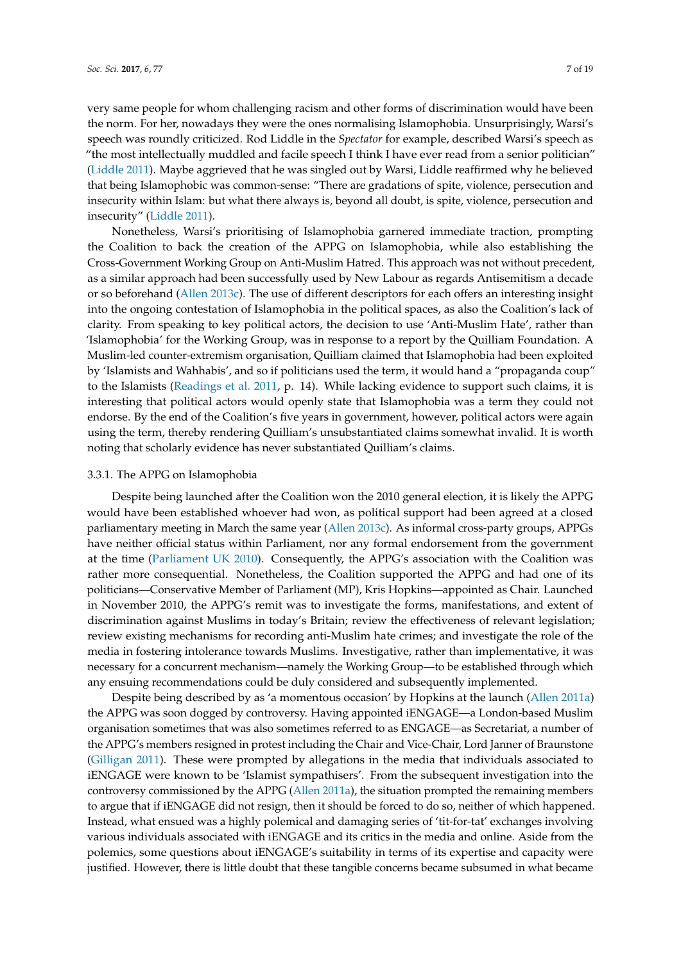very same people for whom challenging racism and other forms of discrimination would have been the norm. For her, nowadays they were the ones normalising Islamophobia. Unsurprisingly, Warsi's speech was roundly criticized. Rod Liddle in the *Spectator* for example, described Warsi's speech as "the most intellectually muddled and facile speech I think I have ever read from a senior politician" [\(Liddle](#page-16-15) [2011\)](#page-16-15). Maybe aggrieved that he was singled out by Warsi, Liddle reaffirmed why he believed that being Islamophobic was common-sense: "There are gradations of spite, violence, persecution and insecurity within Islam: but what there always is, beyond all doubt, is spite, violence, persecution and insecurity" [\(Liddle](#page-16-15) [2011\)](#page-16-15).

Nonetheless, Warsi's prioritising of Islamophobia garnered immediate traction, prompting the Coalition to back the creation of the APPG on Islamophobia, while also establishing the Cross-Government Working Group on Anti-Muslim Hatred. This approach was not without precedent, as a similar approach had been successfully used by New Labour as regards Antisemitism a decade or so beforehand [\(Allen](#page-15-1) [2013c\)](#page-15-1). The use of different descriptors for each offers an interesting insight into the ongoing contestation of Islamophobia in the political spaces, as also the Coalition's lack of clarity. From speaking to key political actors, the decision to use 'Anti-Muslim Hate', rather than 'Islamophobia' for the Working Group, was in response to a report by the Quilliam Foundation. A Muslim-led counter-extremism organisation, Quilliam claimed that Islamophobia had been exploited by 'Islamists and Wahhabis', and so if politicians used the term, it would hand a "propaganda coup" to the Islamists [\(Readings et al.](#page-17-12) [2011,](#page-17-12) p. 14). While lacking evidence to support such claims, it is interesting that political actors would openly state that Islamophobia was a term they could not endorse. By the end of the Coalition's five years in government, however, political actors were again using the term, thereby rendering Quilliam's unsubstantiated claims somewhat invalid. It is worth noting that scholarly evidence has never substantiated Quilliam's claims.

#### 3.3.1. The APPG on Islamophobia

Despite being launched after the Coalition won the 2010 general election, it is likely the APPG would have been established whoever had won, as political support had been agreed at a closed parliamentary meeting in March the same year [\(Allen](#page-15-1) [2013c\)](#page-15-1). As informal cross-party groups, APPGs have neither official status within Parliament, nor any formal endorsement from the government at the time [\(Parliament UK](#page-17-13) [2010\)](#page-17-13). Consequently, the APPG's association with the Coalition was rather more consequential. Nonetheless, the Coalition supported the APPG and had one of its politicians—Conservative Member of Parliament (MP), Kris Hopkins—appointed as Chair. Launched in November 2010, the APPG's remit was to investigate the forms, manifestations, and extent of discrimination against Muslims in today's Britain; review the effectiveness of relevant legislation; review existing mechanisms for recording anti-Muslim hate crimes; and investigate the role of the media in fostering intolerance towards Muslims. Investigative, rather than implementative, it was necessary for a concurrent mechanism—namely the Working Group—to be established through which any ensuing recommendations could be duly considered and subsequently implemented.

Despite being described by as 'a momentous occasion' by Hopkins at the launch [\(Allen](#page-15-15) [2011a\)](#page-15-15) the APPG was soon dogged by controversy. Having appointed iENGAGE—a London-based Muslim organisation sometimes that was also sometimes referred to as ENGAGE—as Secretariat, a number of the APPG's members resigned in protest including the Chair and Vice-Chair, Lord Janner of Braunstone [\(Gilligan](#page-16-16) [2011\)](#page-16-16). These were prompted by allegations in the media that individuals associated to iENGAGE were known to be 'Islamist sympathisers'. From the subsequent investigation into the controversy commissioned by the APPG [\(Allen](#page-15-15) [2011a\)](#page-15-15), the situation prompted the remaining members to argue that if iENGAGE did not resign, then it should be forced to do so, neither of which happened. Instead, what ensued was a highly polemical and damaging series of 'tit-for-tat' exchanges involving various individuals associated with iENGAGE and its critics in the media and online. Aside from the polemics, some questions about iENGAGE's suitability in terms of its expertise and capacity were justified. However, there is little doubt that these tangible concerns became subsumed in what became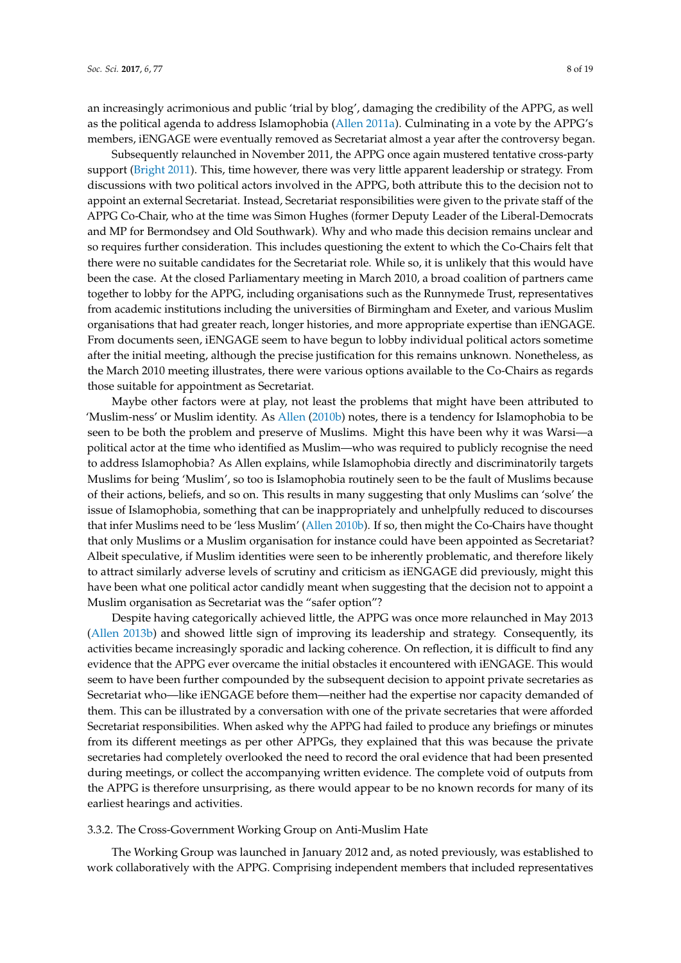an increasingly acrimonious and public 'trial by blog', damaging the credibility of the APPG, as well as the political agenda to address Islamophobia [\(Allen](#page-15-15) [2011a\)](#page-15-15). Culminating in a vote by the APPG's members, iENGAGE were eventually removed as Secretariat almost a year after the controversy began.

Subsequently relaunched in November 2011, the APPG once again mustered tentative cross-party support [\(Bright](#page-15-16) [2011\)](#page-15-16). This, time however, there was very little apparent leadership or strategy. From discussions with two political actors involved in the APPG, both attribute this to the decision not to appoint an external Secretariat. Instead, Secretariat responsibilities were given to the private staff of the APPG Co-Chair, who at the time was Simon Hughes (former Deputy Leader of the Liberal-Democrats and MP for Bermondsey and Old Southwark). Why and who made this decision remains unclear and so requires further consideration. This includes questioning the extent to which the Co-Chairs felt that there were no suitable candidates for the Secretariat role. While so, it is unlikely that this would have been the case. At the closed Parliamentary meeting in March 2010, a broad coalition of partners came together to lobby for the APPG, including organisations such as the Runnymede Trust, representatives from academic institutions including the universities of Birmingham and Exeter, and various Muslim organisations that had greater reach, longer histories, and more appropriate expertise than iENGAGE. From documents seen, iENGAGE seem to have begun to lobby individual political actors sometime after the initial meeting, although the precise justification for this remains unknown. Nonetheless, as the March 2010 meeting illustrates, there were various options available to the Co-Chairs as regards those suitable for appointment as Secretariat.

Maybe other factors were at play, not least the problems that might have been attributed to 'Muslim-ness' or Muslim identity. As [Allen](#page-14-0) [\(2010b\)](#page-14-0) notes, there is a tendency for Islamophobia to be seen to be both the problem and preserve of Muslims. Might this have been why it was Warsi—a political actor at the time who identified as Muslim—who was required to publicly recognise the need to address Islamophobia? As Allen explains, while Islamophobia directly and discriminatorily targets Muslims for being 'Muslim', so too is Islamophobia routinely seen to be the fault of Muslims because of their actions, beliefs, and so on. This results in many suggesting that only Muslims can 'solve' the issue of Islamophobia, something that can be inappropriately and unhelpfully reduced to discourses that infer Muslims need to be 'less Muslim' [\(Allen](#page-14-0) [2010b\)](#page-14-0). If so, then might the Co-Chairs have thought that only Muslims or a Muslim organisation for instance could have been appointed as Secretariat? Albeit speculative, if Muslim identities were seen to be inherently problematic, and therefore likely to attract similarly adverse levels of scrutiny and criticism as iENGAGE did previously, might this have been what one political actor candidly meant when suggesting that the decision not to appoint a Muslim organisation as Secretariat was the "safer option"?

Despite having categorically achieved little, the APPG was once more relaunched in May 2013 [\(Allen](#page-15-11) [2013b\)](#page-15-11) and showed little sign of improving its leadership and strategy. Consequently, its activities became increasingly sporadic and lacking coherence. On reflection, it is difficult to find any evidence that the APPG ever overcame the initial obstacles it encountered with iENGAGE. This would seem to have been further compounded by the subsequent decision to appoint private secretaries as Secretariat who—like iENGAGE before them—neither had the expertise nor capacity demanded of them. This can be illustrated by a conversation with one of the private secretaries that were afforded Secretariat responsibilities. When asked why the APPG had failed to produce any briefings or minutes from its different meetings as per other APPGs, they explained that this was because the private secretaries had completely overlooked the need to record the oral evidence that had been presented during meetings, or collect the accompanying written evidence. The complete void of outputs from the APPG is therefore unsurprising, as there would appear to be no known records for many of its earliest hearings and activities.

## 3.3.2. The Cross-Government Working Group on Anti-Muslim Hate

The Working Group was launched in January 2012 and, as noted previously, was established to work collaboratively with the APPG. Comprising independent members that included representatives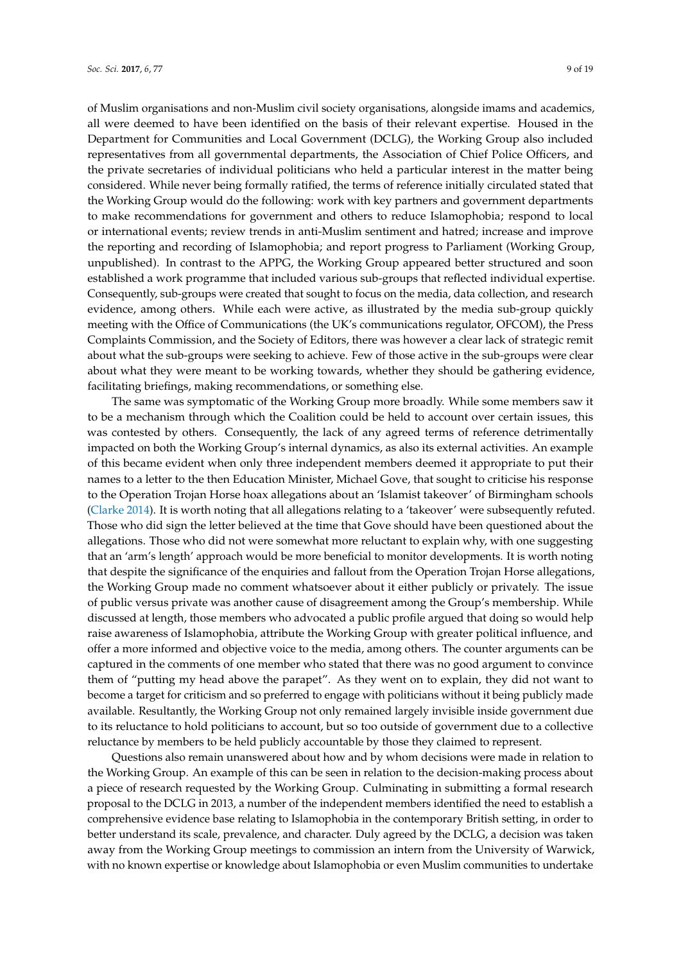of Muslim organisations and non-Muslim civil society organisations, alongside imams and academics, all were deemed to have been identified on the basis of their relevant expertise. Housed in the Department for Communities and Local Government (DCLG), the Working Group also included representatives from all governmental departments, the Association of Chief Police Officers, and the private secretaries of individual politicians who held a particular interest in the matter being considered. While never being formally ratified, the terms of reference initially circulated stated that the Working Group would do the following: work with key partners and government departments to make recommendations for government and others to reduce Islamophobia; respond to local or international events; review trends in anti-Muslim sentiment and hatred; increase and improve the reporting and recording of Islamophobia; and report progress to Parliament (Working Group, unpublished). In contrast to the APPG, the Working Group appeared better structured and soon established a work programme that included various sub-groups that reflected individual expertise. Consequently, sub-groups were created that sought to focus on the media, data collection, and research evidence, among others. While each were active, as illustrated by the media sub-group quickly meeting with the Office of Communications (the UK's communications regulator, OFCOM), the Press Complaints Commission, and the Society of Editors, there was however a clear lack of strategic remit about what the sub-groups were seeking to achieve. Few of those active in the sub-groups were clear about what they were meant to be working towards, whether they should be gathering evidence, facilitating briefings, making recommendations, or something else.

The same was symptomatic of the Working Group more broadly. While some members saw it to be a mechanism through which the Coalition could be held to account over certain issues, this was contested by others. Consequently, the lack of any agreed terms of reference detrimentally impacted on both the Working Group's internal dynamics, as also its external activities. An example of this became evident when only three independent members deemed it appropriate to put their names to a letter to the then Education Minister, Michael Gove, that sought to criticise his response to the Operation Trojan Horse hoax allegations about an 'Islamist takeover' of Birmingham schools [\(Clarke](#page-15-17) [2014\)](#page-15-17). It is worth noting that all allegations relating to a 'takeover' were subsequently refuted. Those who did sign the letter believed at the time that Gove should have been questioned about the allegations. Those who did not were somewhat more reluctant to explain why, with one suggesting that an 'arm's length' approach would be more beneficial to monitor developments. It is worth noting that despite the significance of the enquiries and fallout from the Operation Trojan Horse allegations, the Working Group made no comment whatsoever about it either publicly or privately. The issue of public versus private was another cause of disagreement among the Group's membership. While discussed at length, those members who advocated a public profile argued that doing so would help raise awareness of Islamophobia, attribute the Working Group with greater political influence, and offer a more informed and objective voice to the media, among others. The counter arguments can be captured in the comments of one member who stated that there was no good argument to convince them of "putting my head above the parapet". As they went on to explain, they did not want to become a target for criticism and so preferred to engage with politicians without it being publicly made available. Resultantly, the Working Group not only remained largely invisible inside government due to its reluctance to hold politicians to account, but so too outside of government due to a collective reluctance by members to be held publicly accountable by those they claimed to represent.

Questions also remain unanswered about how and by whom decisions were made in relation to the Working Group. An example of this can be seen in relation to the decision-making process about a piece of research requested by the Working Group. Culminating in submitting a formal research proposal to the DCLG in 2013, a number of the independent members identified the need to establish a comprehensive evidence base relating to Islamophobia in the contemporary British setting, in order to better understand its scale, prevalence, and character. Duly agreed by the DCLG, a decision was taken away from the Working Group meetings to commission an intern from the University of Warwick, with no known expertise or knowledge about Islamophobia or even Muslim communities to undertake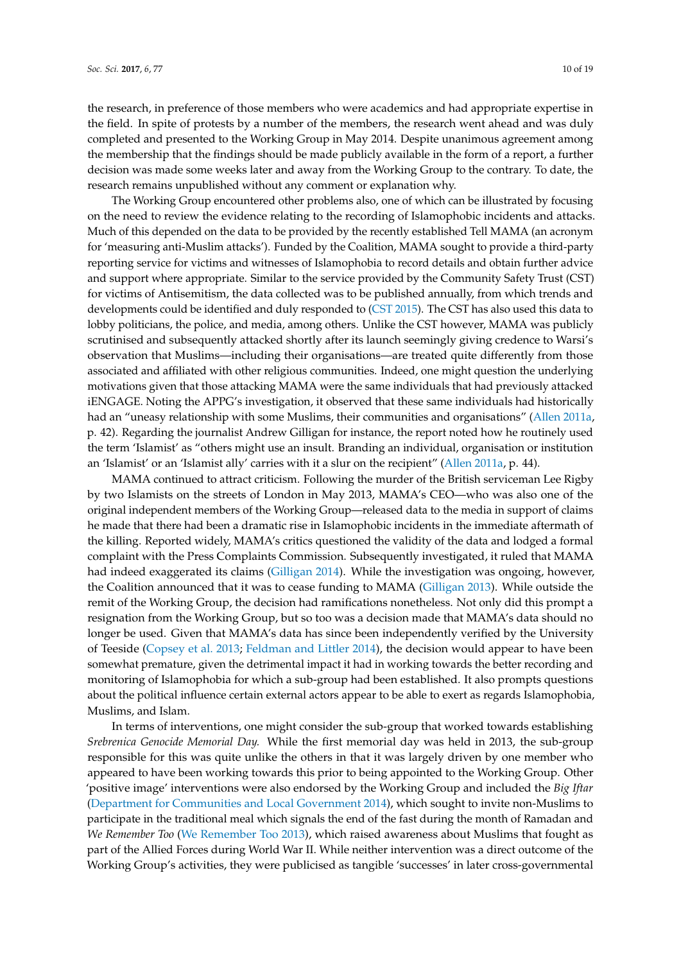the research, in preference of those members who were academics and had appropriate expertise in the field. In spite of protests by a number of the members, the research went ahead and was duly completed and presented to the Working Group in May 2014. Despite unanimous agreement among the membership that the findings should be made publicly available in the form of a report, a further decision was made some weeks later and away from the Working Group to the contrary. To date, the research remains unpublished without any comment or explanation why.

The Working Group encountered other problems also, one of which can be illustrated by focusing on the need to review the evidence relating to the recording of Islamophobic incidents and attacks. Much of this depended on the data to be provided by the recently established Tell MAMA (an acronym for 'measuring anti-Muslim attacks'). Funded by the Coalition, MAMA sought to provide a third-party reporting service for victims and witnesses of Islamophobia to record details and obtain further advice and support where appropriate. Similar to the service provided by the Community Safety Trust (CST) for victims of Antisemitism, the data collected was to be published annually, from which trends and developments could be identified and duly responded to [\(CST](#page-15-18) [2015\)](#page-15-18). The CST has also used this data to lobby politicians, the police, and media, among others. Unlike the CST however, MAMA was publicly scrutinised and subsequently attacked shortly after its launch seemingly giving credence to Warsi's observation that Muslims—including their organisations—are treated quite differently from those associated and affiliated with other religious communities. Indeed, one might question the underlying motivations given that those attacking MAMA were the same individuals that had previously attacked iENGAGE. Noting the APPG's investigation, it observed that these same individuals had historically had an "uneasy relationship with some Muslims, their communities and organisations" [\(Allen](#page-15-15) [2011a,](#page-15-15) p. 42). Regarding the journalist Andrew Gilligan for instance, the report noted how he routinely used the term 'Islamist' as "others might use an insult. Branding an individual, organisation or institution an 'Islamist' or an 'Islamist ally' carries with it a slur on the recipient" [\(Allen](#page-15-15) [2011a,](#page-15-15) p. 44).

MAMA continued to attract criticism. Following the murder of the British serviceman Lee Rigby by two Islamists on the streets of London in May 2013, MAMA's CEO—who was also one of the original independent members of the Working Group—released data to the media in support of claims he made that there had been a dramatic rise in Islamophobic incidents in the immediate aftermath of the killing. Reported widely, MAMA's critics questioned the validity of the data and lodged a formal complaint with the Press Complaints Commission. Subsequently investigated, it ruled that MAMA had indeed exaggerated its claims [\(Gilligan](#page-16-17) [2014\)](#page-16-17). While the investigation was ongoing, however, the Coalition announced that it was to cease funding to MAMA [\(Gilligan](#page-16-18) [2013\)](#page-16-18). While outside the remit of the Working Group, the decision had ramifications nonetheless. Not only did this prompt a resignation from the Working Group, but so too was a decision made that MAMA's data should no longer be used. Given that MAMA's data has since been independently verified by the University of Teeside [\(Copsey et al.](#page-15-19) [2013;](#page-15-19) [Feldman and Littler](#page-16-19) [2014\)](#page-16-19), the decision would appear to have been somewhat premature, given the detrimental impact it had in working towards the better recording and monitoring of Islamophobia for which a sub-group had been established. It also prompts questions about the political influence certain external actors appear to be able to exert as regards Islamophobia, Muslims, and Islam.

In terms of interventions, one might consider the sub-group that worked towards establishing *Srebrenica Genocide Memorial Day.* While the first memorial day was held in 2013, the sub-group responsible for this was quite unlike the others in that it was largely driven by one member who appeared to have been working towards this prior to being appointed to the Working Group. Other 'positive image' interventions were also endorsed by the Working Group and included the *Big Iftar* [\(Department for Communities and Local Government](#page-15-20) [2014\)](#page-15-20), which sought to invite non-Muslims to participate in the traditional meal which signals the end of the fast during the month of Ramadan and *We Remember Too* [\(We Remember Too](#page-17-14) [2013\)](#page-17-14), which raised awareness about Muslims that fought as part of the Allied Forces during World War II. While neither intervention was a direct outcome of the Working Group's activities, they were publicised as tangible 'successes' in later cross-governmental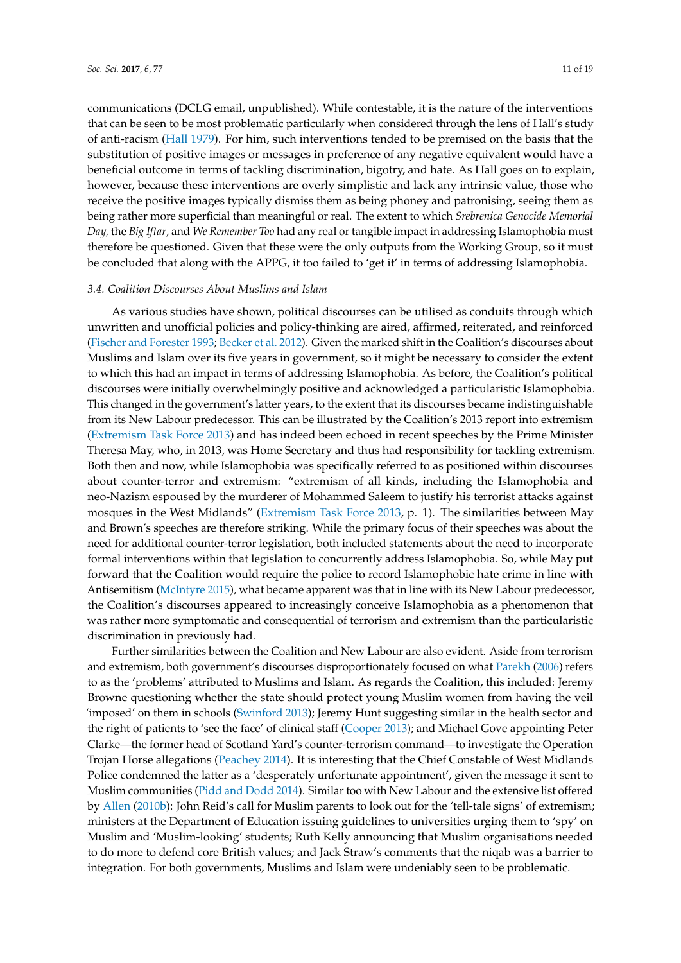communications (DCLG email, unpublished). While contestable, it is the nature of the interventions that can be seen to be most problematic particularly when considered through the lens of Hall's study of anti-racism [\(Hall](#page-16-4) [1979\)](#page-16-4). For him, such interventions tended to be premised on the basis that the substitution of positive images or messages in preference of any negative equivalent would have a beneficial outcome in terms of tackling discrimination, bigotry, and hate. As Hall goes on to explain, however, because these interventions are overly simplistic and lack any intrinsic value, those who receive the positive images typically dismiss them as being phoney and patronising, seeing them as being rather more superficial than meaningful or real. The extent to which *Srebrenica Genocide Memorial Day,* the *Big Iftar*, and *We Remember Too* had any real or tangible impact in addressing Islamophobia must therefore be questioned. Given that these were the only outputs from the Working Group, so it must be concluded that along with the APPG, it too failed to 'get it' in terms of addressing Islamophobia.

# *3.4. Coalition Discourses About Muslims and Islam*

As various studies have shown, political discourses can be utilised as conduits through which unwritten and unofficial policies and policy-thinking are aired, affirmed, reiterated, and reinforced [\(Fischer and Forester](#page-16-20) [1993;](#page-16-20) [Becker et al.](#page-15-21) [2012\)](#page-15-21). Given the marked shift in the Coalition's discourses about Muslims and Islam over its five years in government, so it might be necessary to consider the extent to which this had an impact in terms of addressing Islamophobia. As before, the Coalition's political discourses were initially overwhelmingly positive and acknowledged a particularistic Islamophobia. This changed in the government's latter years, to the extent that its discourses became indistinguishable from its New Labour predecessor. This can be illustrated by the Coalition's 2013 report into extremism [\(Extremism Task Force](#page-16-21) [2013\)](#page-16-21) and has indeed been echoed in recent speeches by the Prime Minister Theresa May, who, in 2013, was Home Secretary and thus had responsibility for tackling extremism. Both then and now, while Islamophobia was specifically referred to as positioned within discourses about counter-terror and extremism: "extremism of all kinds, including the Islamophobia and neo-Nazism espoused by the murderer of Mohammed Saleem to justify his terrorist attacks against mosques in the West Midlands" [\(Extremism Task Force](#page-16-21) [2013,](#page-16-21) p. 1). The similarities between May and Brown's speeches are therefore striking. While the primary focus of their speeches was about the need for additional counter-terror legislation, both included statements about the need to incorporate formal interventions within that legislation to concurrently address Islamophobia. So, while May put forward that the Coalition would require the police to record Islamophobic hate crime in line with Antisemitism [\(McIntyre](#page-16-22) [2015\)](#page-16-22), what became apparent was that in line with its New Labour predecessor, the Coalition's discourses appeared to increasingly conceive Islamophobia as a phenomenon that was rather more symptomatic and consequential of terrorism and extremism than the particularistic discrimination in previously had.

Further similarities between the Coalition and New Labour are also evident. Aside from terrorism and extremism, both government's discourses disproportionately focused on what [Parekh](#page-17-15) [\(2006\)](#page-17-15) refers to as the 'problems' attributed to Muslims and Islam. As regards the Coalition, this included: Jeremy Browne questioning whether the state should protect young Muslim women from having the veil 'imposed' on them in schools [\(Swinford](#page-17-16) [2013\)](#page-17-16); Jeremy Hunt suggesting similar in the health sector and the right of patients to 'see the face' of clinical staff [\(Cooper](#page-15-22) [2013\)](#page-15-22); and Michael Gove appointing Peter Clarke—the former head of Scotland Yard's counter-terrorism command—to investigate the Operation Trojan Horse allegations [\(Peachey](#page-17-17) [2014\)](#page-17-17). It is interesting that the Chief Constable of West Midlands Police condemned the latter as a 'desperately unfortunate appointment', given the message it sent to Muslim communities [\(Pidd and Dodd](#page-17-18) [2014\)](#page-17-18). Similar too with New Labour and the extensive list offered by [Allen](#page-14-0) [\(2010b\)](#page-14-0): John Reid's call for Muslim parents to look out for the 'tell-tale signs' of extremism; ministers at the Department of Education issuing guidelines to universities urging them to 'spy' on Muslim and 'Muslim-looking' students; Ruth Kelly announcing that Muslim organisations needed to do more to defend core British values; and Jack Straw's comments that the niqab was a barrier to integration. For both governments, Muslims and Islam were undeniably seen to be problematic.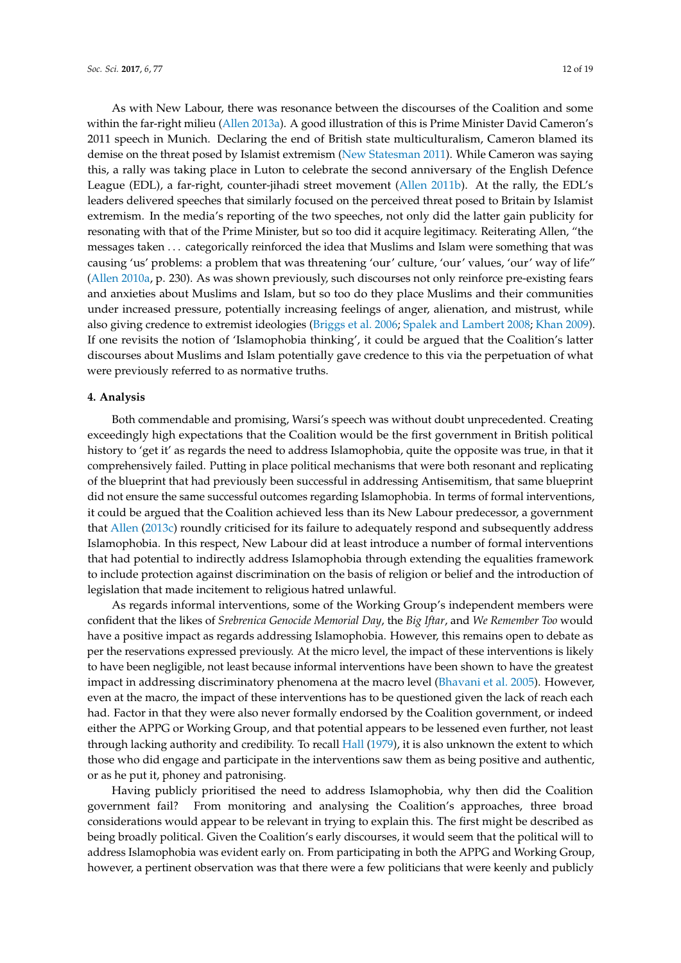As with New Labour, there was resonance between the discourses of the Coalition and some within the far-right milieu [\(Allen](#page-15-9) [2013a\)](#page-15-9). A good illustration of this is Prime Minister David Cameron's 2011 speech in Munich. Declaring the end of British state multiculturalism, Cameron blamed its demise on the threat posed by Islamist extremism [\(New Statesman](#page-17-19) [2011\)](#page-17-19). While Cameron was saying this, a rally was taking place in Luton to celebrate the second anniversary of the English Defence League (EDL), a far-right, counter-jihadi street movement [\(Allen](#page-15-23) [2011b\)](#page-15-23). At the rally, the EDL's leaders delivered speeches that similarly focused on the perceived threat posed to Britain by Islamist extremism. In the media's reporting of the two speeches, not only did the latter gain publicity for resonating with that of the Prime Minister, but so too did it acquire legitimacy. Reiterating Allen, "the messages taken . . . categorically reinforced the idea that Muslims and Islam were something that was causing 'us' problems: a problem that was threatening 'our' culture, 'our' values, 'our' way of life" [\(Allen](#page-14-1) [2010a,](#page-14-1) p. 230). As was shown previously, such discourses not only reinforce pre-existing fears and anxieties about Muslims and Islam, but so too do they place Muslims and their communities under increased pressure, potentially increasing feelings of anger, alienation, and mistrust, while also giving credence to extremist ideologies [\(Briggs et al.](#page-15-13) [2006;](#page-15-13) [Spalek and Lambert](#page-17-20) [2008;](#page-17-20) [Khan](#page-16-13) [2009\)](#page-16-13). If one revisits the notion of 'Islamophobia thinking', it could be argued that the Coalition's latter discourses about Muslims and Islam potentially gave credence to this via the perpetuation of what were previously referred to as normative truths.

### **4. Analysis**

Both commendable and promising, Warsi's speech was without doubt unprecedented. Creating exceedingly high expectations that the Coalition would be the first government in British political history to 'get it' as regards the need to address Islamophobia, quite the opposite was true, in that it comprehensively failed. Putting in place political mechanisms that were both resonant and replicating of the blueprint that had previously been successful in addressing Antisemitism, that same blueprint did not ensure the same successful outcomes regarding Islamophobia. In terms of formal interventions, it could be argued that the Coalition achieved less than its New Labour predecessor, a government that [Allen](#page-15-1) [\(2013c\)](#page-15-1) roundly criticised for its failure to adequately respond and subsequently address Islamophobia. In this respect, New Labour did at least introduce a number of formal interventions that had potential to indirectly address Islamophobia through extending the equalities framework to include protection against discrimination on the basis of religion or belief and the introduction of legislation that made incitement to religious hatred unlawful.

As regards informal interventions, some of the Working Group's independent members were confident that the likes of *Srebrenica Genocide Memorial Day*, the *Big Iftar*, and *We Remember Too* would have a positive impact as regards addressing Islamophobia. However, this remains open to debate as per the reservations expressed previously. At the micro level, the impact of these interventions is likely to have been negligible, not least because informal interventions have been shown to have the greatest impact in addressing discriminatory phenomena at the macro level [\(Bhavani et al.](#page-15-7) [2005\)](#page-15-7). However, even at the macro, the impact of these interventions has to be questioned given the lack of reach each had. Factor in that they were also never formally endorsed by the Coalition government, or indeed either the APPG or Working Group, and that potential appears to be lessened even further, not least through lacking authority and credibility. To recall [Hall](#page-16-4) [\(1979\)](#page-16-4), it is also unknown the extent to which those who did engage and participate in the interventions saw them as being positive and authentic, or as he put it, phoney and patronising.

Having publicly prioritised the need to address Islamophobia, why then did the Coalition government fail? From monitoring and analysing the Coalition's approaches, three broad considerations would appear to be relevant in trying to explain this. The first might be described as being broadly political. Given the Coalition's early discourses, it would seem that the political will to address Islamophobia was evident early on. From participating in both the APPG and Working Group, however, a pertinent observation was that there were a few politicians that were keenly and publicly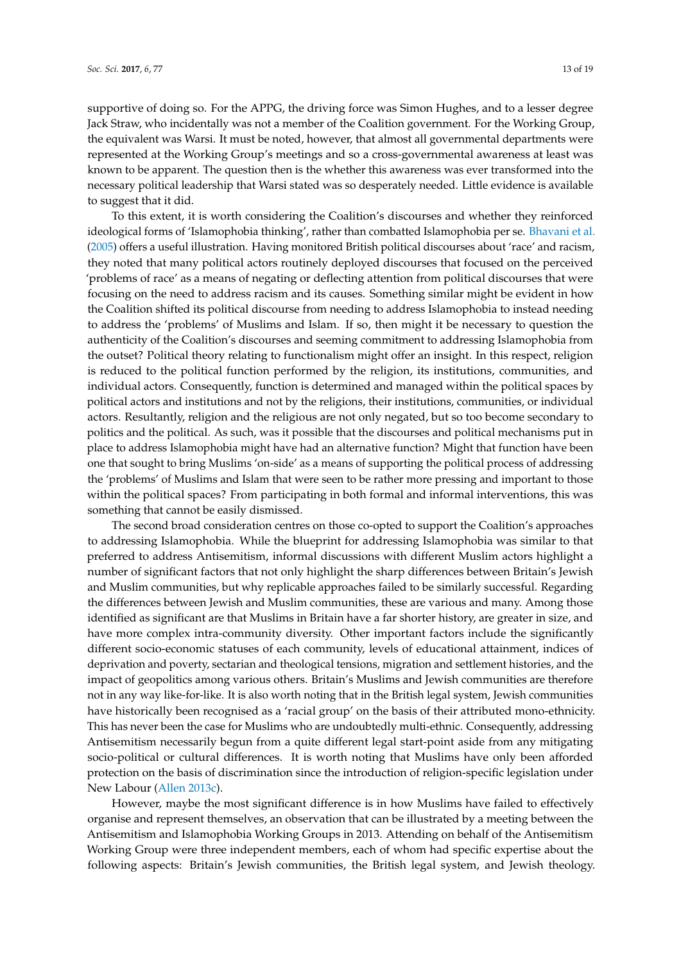supportive of doing so. For the APPG, the driving force was Simon Hughes, and to a lesser degree Jack Straw, who incidentally was not a member of the Coalition government. For the Working Group, the equivalent was Warsi. It must be noted, however, that almost all governmental departments were represented at the Working Group's meetings and so a cross-governmental awareness at least was known to be apparent. The question then is the whether this awareness was ever transformed into the necessary political leadership that Warsi stated was so desperately needed. Little evidence is available to suggest that it did.

To this extent, it is worth considering the Coalition's discourses and whether they reinforced ideological forms of 'Islamophobia thinking', rather than combatted Islamophobia per se. [Bhavani et al.](#page-15-7) [\(2005\)](#page-15-7) offers a useful illustration. Having monitored British political discourses about 'race' and racism, they noted that many political actors routinely deployed discourses that focused on the perceived 'problems of race' as a means of negating or deflecting attention from political discourses that were focusing on the need to address racism and its causes. Something similar might be evident in how the Coalition shifted its political discourse from needing to address Islamophobia to instead needing to address the 'problems' of Muslims and Islam. If so, then might it be necessary to question the authenticity of the Coalition's discourses and seeming commitment to addressing Islamophobia from the outset? Political theory relating to functionalism might offer an insight. In this respect, religion is reduced to the political function performed by the religion, its institutions, communities, and individual actors. Consequently, function is determined and managed within the political spaces by political actors and institutions and not by the religions, their institutions, communities, or individual actors. Resultantly, religion and the religious are not only negated, but so too become secondary to politics and the political. As such, was it possible that the discourses and political mechanisms put in place to address Islamophobia might have had an alternative function? Might that function have been one that sought to bring Muslims 'on-side' as a means of supporting the political process of addressing the 'problems' of Muslims and Islam that were seen to be rather more pressing and important to those within the political spaces? From participating in both formal and informal interventions, this was something that cannot be easily dismissed.

The second broad consideration centres on those co-opted to support the Coalition's approaches to addressing Islamophobia. While the blueprint for addressing Islamophobia was similar to that preferred to address Antisemitism, informal discussions with different Muslim actors highlight a number of significant factors that not only highlight the sharp differences between Britain's Jewish and Muslim communities, but why replicable approaches failed to be similarly successful. Regarding the differences between Jewish and Muslim communities, these are various and many. Among those identified as significant are that Muslims in Britain have a far shorter history, are greater in size, and have more complex intra-community diversity. Other important factors include the significantly different socio-economic statuses of each community, levels of educational attainment, indices of deprivation and poverty, sectarian and theological tensions, migration and settlement histories, and the impact of geopolitics among various others. Britain's Muslims and Jewish communities are therefore not in any way like-for-like. It is also worth noting that in the British legal system, Jewish communities have historically been recognised as a 'racial group' on the basis of their attributed mono-ethnicity. This has never been the case for Muslims who are undoubtedly multi-ethnic. Consequently, addressing Antisemitism necessarily begun from a quite different legal start-point aside from any mitigating socio-political or cultural differences. It is worth noting that Muslims have only been afforded protection on the basis of discrimination since the introduction of religion-specific legislation under New Labour [\(Allen](#page-15-1) [2013c\)](#page-15-1).

However, maybe the most significant difference is in how Muslims have failed to effectively organise and represent themselves, an observation that can be illustrated by a meeting between the Antisemitism and Islamophobia Working Groups in 2013. Attending on behalf of the Antisemitism Working Group were three independent members, each of whom had specific expertise about the following aspects: Britain's Jewish communities, the British legal system, and Jewish theology.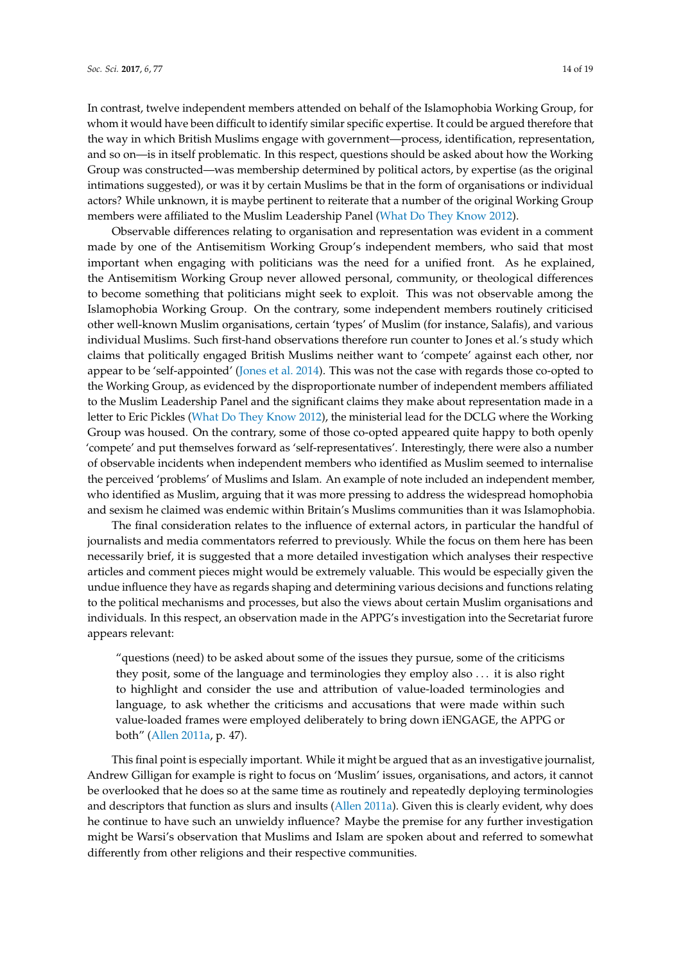In contrast, twelve independent members attended on behalf of the Islamophobia Working Group, for whom it would have been difficult to identify similar specific expertise. It could be argued therefore that the way in which British Muslims engage with government—process, identification, representation, and so on—is in itself problematic. In this respect, questions should be asked about how the Working Group was constructed—was membership determined by political actors, by expertise (as the original intimations suggested), or was it by certain Muslims be that in the form of organisations or individual actors? While unknown, it is maybe pertinent to reiterate that a number of the original Working Group members were affiliated to the Muslim Leadership Panel [\(What Do They Know](#page-18-4) [2012\)](#page-18-4).

Observable differences relating to organisation and representation was evident in a comment made by one of the Antisemitism Working Group's independent members, who said that most important when engaging with politicians was the need for a unified front. As he explained, the Antisemitism Working Group never allowed personal, community, or theological differences to become something that politicians might seek to exploit. This was not observable among the Islamophobia Working Group. On the contrary, some independent members routinely criticised other well-known Muslim organisations, certain 'types' of Muslim (for instance, Salafis), and various individual Muslims. Such first-hand observations therefore run counter to Jones et al.'s study which claims that politically engaged British Muslims neither want to 'compete' against each other, nor appear to be 'self-appointed' [\(Jones et al.](#page-16-23) [2014\)](#page-16-23). This was not the case with regards those co-opted to the Working Group, as evidenced by the disproportionate number of independent members affiliated to the Muslim Leadership Panel and the significant claims they make about representation made in a letter to Eric Pickles [\(What Do They Know](#page-18-4) [2012\)](#page-18-4), the ministerial lead for the DCLG where the Working Group was housed. On the contrary, some of those co-opted appeared quite happy to both openly 'compete' and put themselves forward as 'self-representatives'. Interestingly, there were also a number of observable incidents when independent members who identified as Muslim seemed to internalise the perceived 'problems' of Muslims and Islam. An example of note included an independent member, who identified as Muslim, arguing that it was more pressing to address the widespread homophobia and sexism he claimed was endemic within Britain's Muslims communities than it was Islamophobia.

The final consideration relates to the influence of external actors, in particular the handful of journalists and media commentators referred to previously. While the focus on them here has been necessarily brief, it is suggested that a more detailed investigation which analyses their respective articles and comment pieces might would be extremely valuable. This would be especially given the undue influence they have as regards shaping and determining various decisions and functions relating to the political mechanisms and processes, but also the views about certain Muslim organisations and individuals. In this respect, an observation made in the APPG's investigation into the Secretariat furore appears relevant:

"questions (need) to be asked about some of the issues they pursue, some of the criticisms they posit, some of the language and terminologies they employ also . . . it is also right to highlight and consider the use and attribution of value-loaded terminologies and language, to ask whether the criticisms and accusations that were made within such value-loaded frames were employed deliberately to bring down iENGAGE, the APPG or both" [\(Allen](#page-15-15) [2011a,](#page-15-15) p. 47).

This final point is especially important. While it might be argued that as an investigative journalist, Andrew Gilligan for example is right to focus on 'Muslim' issues, organisations, and actors, it cannot be overlooked that he does so at the same time as routinely and repeatedly deploying terminologies and descriptors that function as slurs and insults [\(Allen](#page-15-15) [2011a\)](#page-15-15). Given this is clearly evident, why does he continue to have such an unwieldy influence? Maybe the premise for any further investigation might be Warsi's observation that Muslims and Islam are spoken about and referred to somewhat differently from other religions and their respective communities.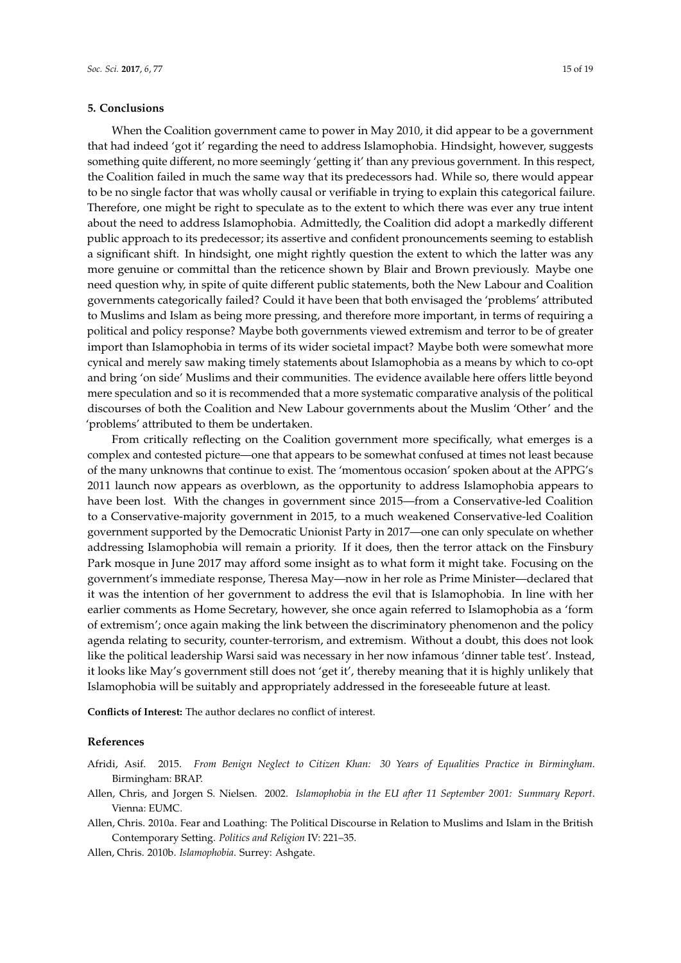# **5. Conclusions**

When the Coalition government came to power in May 2010, it did appear to be a government that had indeed 'got it' regarding the need to address Islamophobia. Hindsight, however, suggests something quite different, no more seemingly 'getting it' than any previous government. In this respect, the Coalition failed in much the same way that its predecessors had. While so, there would appear to be no single factor that was wholly causal or verifiable in trying to explain this categorical failure. Therefore, one might be right to speculate as to the extent to which there was ever any true intent about the need to address Islamophobia. Admittedly, the Coalition did adopt a markedly different public approach to its predecessor; its assertive and confident pronouncements seeming to establish a significant shift. In hindsight, one might rightly question the extent to which the latter was any more genuine or committal than the reticence shown by Blair and Brown previously. Maybe one need question why, in spite of quite different public statements, both the New Labour and Coalition governments categorically failed? Could it have been that both envisaged the 'problems' attributed to Muslims and Islam as being more pressing, and therefore more important, in terms of requiring a political and policy response? Maybe both governments viewed extremism and terror to be of greater import than Islamophobia in terms of its wider societal impact? Maybe both were somewhat more cynical and merely saw making timely statements about Islamophobia as a means by which to co-opt and bring 'on side' Muslims and their communities. The evidence available here offers little beyond mere speculation and so it is recommended that a more systematic comparative analysis of the political discourses of both the Coalition and New Labour governments about the Muslim 'Other' and the 'problems' attributed to them be undertaken.

From critically reflecting on the Coalition government more specifically, what emerges is a complex and contested picture—one that appears to be somewhat confused at times not least because of the many unknowns that continue to exist. The 'momentous occasion' spoken about at the APPG's 2011 launch now appears as overblown, as the opportunity to address Islamophobia appears to have been lost. With the changes in government since 2015—from a Conservative-led Coalition to a Conservative-majority government in 2015, to a much weakened Conservative-led Coalition government supported by the Democratic Unionist Party in 2017—one can only speculate on whether addressing Islamophobia will remain a priority. If it does, then the terror attack on the Finsbury Park mosque in June 2017 may afford some insight as to what form it might take. Focusing on the government's immediate response, Theresa May—now in her role as Prime Minister—declared that it was the intention of her government to address the evil that is Islamophobia. In line with her earlier comments as Home Secretary, however, she once again referred to Islamophobia as a 'form of extremism'; once again making the link between the discriminatory phenomenon and the policy agenda relating to security, counter-terrorism, and extremism. Without a doubt, this does not look like the political leadership Warsi said was necessary in her now infamous 'dinner table test'. Instead, it looks like May's government still does not 'get it', thereby meaning that it is highly unlikely that Islamophobia will be suitably and appropriately addressed in the foreseeable future at least.

**Conflicts of Interest:** The author declares no conflict of interest.

## **References**

- <span id="page-14-2"></span>Afridi, Asif. 2015. *From Benign Neglect to Citizen Khan: 30 Years of Equalities Practice in Birmingham*. Birmingham: BRAP.
- <span id="page-14-3"></span>Allen, Chris, and Jorgen S. Nielsen. 2002. *Islamophobia in the EU after 11 September 2001: Summary Report*. Vienna: EUMC.
- <span id="page-14-1"></span>Allen, Chris. 2010a. Fear and Loathing: The Political Discourse in Relation to Muslims and Islam in the British Contemporary Setting. *Politics and Religion* IV: 221–35.

<span id="page-14-0"></span>Allen, Chris. 2010b. *Islamophobia*. Surrey: Ashgate.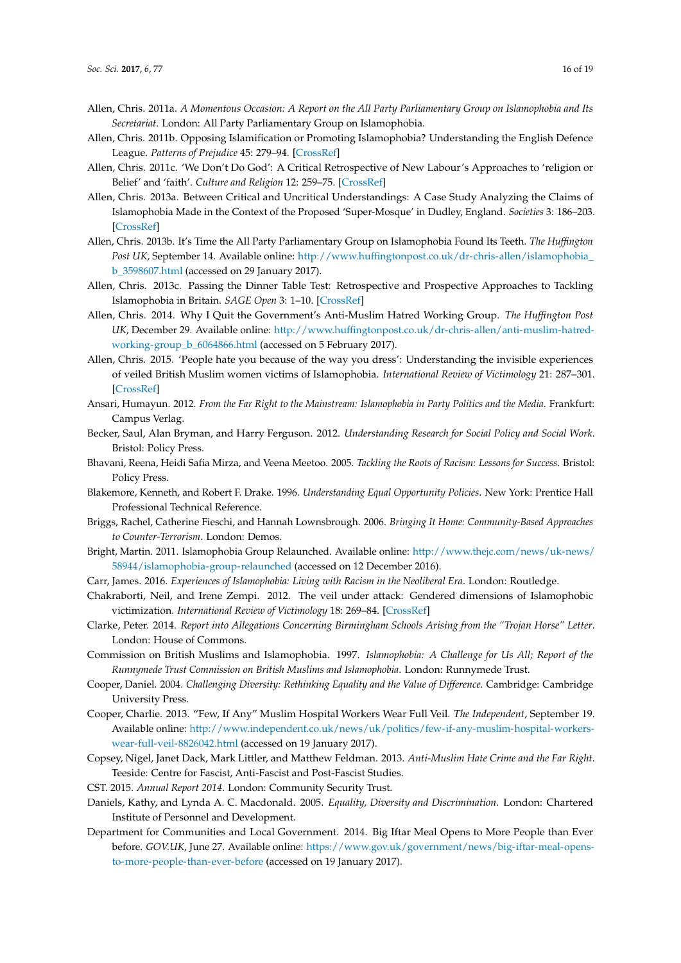- <span id="page-15-15"></span>Allen, Chris. 2011a. *A Momentous Occasion: A Report on the All Party Parliamentary Group on Islamophobia and Its Secretariat*. London: All Party Parliamentary Group on Islamophobia.
- <span id="page-15-23"></span>Allen, Chris. 2011b. Opposing Islamification or Promoting Islamophobia? Understanding the English Defence League. *Patterns of Prejudice* 45: 279–94. [\[CrossRef\]](http://dx.doi.org/10.1080/0031322X.2011.585014)
- <span id="page-15-14"></span>Allen, Chris. 2011c. 'We Don't Do God': A Critical Retrospective of New Labour's Approaches to 'religion or Belief' and 'faith'. *Culture and Religion* 12: 259–75. [\[CrossRef\]](http://dx.doi.org/10.1080/14755610.2011.605272)
- <span id="page-15-9"></span>Allen, Chris. 2013a. Between Critical and Uncritical Understandings: A Case Study Analyzing the Claims of Islamophobia Made in the Context of the Proposed 'Super-Mosque' in Dudley, England. *Societies* 3: 186–203. [\[CrossRef\]](http://dx.doi.org/10.3390/soc3020186)
- <span id="page-15-11"></span>Allen, Chris. 2013b. It's Time the All Party Parliamentary Group on Islamophobia Found Its Teeth. *The Huffington Post UK*, September 14. Available online: [http://www.huffingtonpost.co.uk/dr-chris-allen/islamophobia\\_](http://www.huffingtonpost.co.uk/dr-chris-allen/islamophobia_b_3598607.html) [b\\_3598607.html](http://www.huffingtonpost.co.uk/dr-chris-allen/islamophobia_b_3598607.html) (accessed on 29 January 2017).
- <span id="page-15-1"></span>Allen, Chris. 2013c. Passing the Dinner Table Test: Retrospective and Prospective Approaches to Tackling Islamophobia in Britain. *SAGE Open* 3: 1–10. [\[CrossRef\]](http://dx.doi.org/10.1177/2158244013484734)
- <span id="page-15-8"></span>Allen, Chris. 2014. Why I Quit the Government's Anti-Muslim Hatred Working Group. *The Huffington Post UK*, December 29. Available online: [http://www.huffingtonpost.co.uk/dr-chris-allen/anti-muslim-hatred](http://www.huffingtonpost.co.uk/dr-chris-allen/anti-muslim-hatred-working-group_b_6064866.html)[working-group\\_b\\_6064866.html](http://www.huffingtonpost.co.uk/dr-chris-allen/anti-muslim-hatred-working-group_b_6064866.html) (accessed on 5 February 2017).
- <span id="page-15-3"></span>Allen, Chris. 2015. 'People hate you because of the way you dress': Understanding the invisible experiences of veiled British Muslim women victims of Islamophobia. *International Review of Victimology* 21: 287–301. [\[CrossRef\]](http://dx.doi.org/10.1177/0269758015591677)
- <span id="page-15-4"></span>Ansari, Humayun. 2012. *From the Far Right to the Mainstream: Islamophobia in Party Politics and the Media*. Frankfurt: Campus Verlag.
- <span id="page-15-21"></span>Becker, Saul, Alan Bryman, and Harry Ferguson. 2012. *Understanding Research for Social Policy and Social Work*. Bristol: Policy Press.
- <span id="page-15-7"></span>Bhavani, Reena, Heidi Safia Mirza, and Veena Meetoo. 2005. *Tackling the Roots of Racism: Lessons for Success*. Bristol: Policy Press.
- <span id="page-15-5"></span>Blakemore, Kenneth, and Robert F. Drake. 1996. *Understanding Equal Opportunity Policies*. New York: Prentice Hall Professional Technical Reference.
- <span id="page-15-13"></span>Briggs, Rachel, Catherine Fieschi, and Hannah Lownsbrough. 2006. *Bringing It Home: Community-Based Approaches to Counter-Terrorism*. London: Demos.
- <span id="page-15-16"></span>Bright, Martin. 2011. Islamophobia Group Relaunched. Available online: [http://www.thejc.com/news/uk-news/](http://www.thejc.com/news/uk-news/58944/islamophobia-group-relaunched) [58944/islamophobia-group-relaunched](http://www.thejc.com/news/uk-news/58944/islamophobia-group-relaunched) (accessed on 12 December 2016).
- <span id="page-15-10"></span>Carr, James. 2016. *Experiences of Islamophobia: Living with Racism in the Neoliberal Era*. London: Routledge.
- <span id="page-15-2"></span>Chakraborti, Neil, and Irene Zempi. 2012. The veil under attack: Gendered dimensions of Islamophobic victimization. *International Review of Victimology* 18: 269–84. [\[CrossRef\]](http://dx.doi.org/10.1177/0269758012446983)
- <span id="page-15-17"></span>Clarke, Peter. 2014. *Report into Allegations Concerning Birmingham Schools Arising from the "Trojan Horse" Letter*. London: House of Commons.
- <span id="page-15-0"></span>Commission on British Muslims and Islamophobia. 1997. *Islamophobia: A Challenge for Us All; Report of the Runnymede Trust Commission on British Muslims and Islamophobia*. London: Runnymede Trust.
- <span id="page-15-12"></span>Cooper, Daniel. 2004. *Challenging Diversity: Rethinking Equality and the Value of Difference*. Cambridge: Cambridge University Press.
- <span id="page-15-22"></span>Cooper, Charlie. 2013. "Few, If Any" Muslim Hospital Workers Wear Full Veil. *The Independent*, September 19. Available online: [http://www.independent.co.uk/news/uk/politics/few-if-any-muslim-hospital-workers](http://www.independent.co.uk/news/uk/politics/few-if-any-muslim-hospital-workers-wear-full-veil-8826042.html)[wear-full-veil-8826042.html](http://www.independent.co.uk/news/uk/politics/few-if-any-muslim-hospital-workers-wear-full-veil-8826042.html) (accessed on 19 January 2017).
- <span id="page-15-19"></span>Copsey, Nigel, Janet Dack, Mark Littler, and Matthew Feldman. 2013. *Anti-Muslim Hate Crime and the Far Right*. Teeside: Centre for Fascist, Anti-Fascist and Post-Fascist Studies.
- <span id="page-15-18"></span><span id="page-15-6"></span>CST. 2015. *Annual Report 2014*. London: Community Security Trust.
- Daniels, Kathy, and Lynda A. C. Macdonald. 2005. *Equality, Diversity and Discrimination*. London: Chartered Institute of Personnel and Development.
- <span id="page-15-20"></span>Department for Communities and Local Government. 2014. Big Iftar Meal Opens to More People than Ever before. *GOV.UK*, June 27. Available online: [https://www.gov.uk/government/news/big-iftar-meal-opens](https://www.gov.uk/government/news/big-iftar-meal-opens-to-more-people-than-ever-before)[to-more-people-than-ever-before](https://www.gov.uk/government/news/big-iftar-meal-opens-to-more-people-than-ever-before) (accessed on 19 January 2017).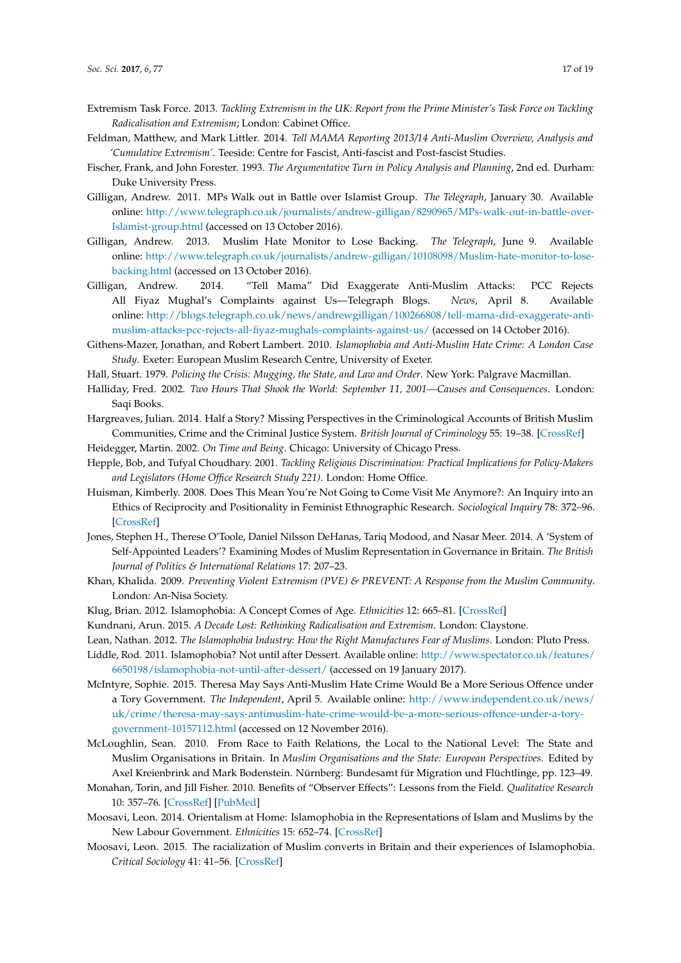- <span id="page-16-21"></span>Extremism Task Force. 2013. *Tackling Extremism in the UK: Report from the Prime Minister's Task Force on Tackling Radicalisation and Extremism*; London: Cabinet Office.
- <span id="page-16-19"></span>Feldman, Matthew, and Mark Littler. 2014. *Tell MAMA Reporting 2013/14 Anti-Muslim Overview, Analysis and 'Cumulative Extremism'*. Teeside: Centre for Fascist, Anti-fascist and Post-fascist Studies.
- <span id="page-16-20"></span>Fischer, Frank, and John Forester. 1993. *The Argumentative Turn in Policy Analysis and Planning*, 2nd ed. Durham: Duke University Press.
- <span id="page-16-16"></span>Gilligan, Andrew. 2011. MPs Walk out in Battle over Islamist Group. *The Telegraph*, January 30. Available online: [http://www.telegraph.co.uk/journalists/andrew-gilligan/8290965/MPs-walk-out-in-battle-over-](http://www.telegraph.co.uk/journalists/andrew-gilligan/8290965/MPs-walk-out-in-battle-over-Islamist-group.html)[Islamist-group.html](http://www.telegraph.co.uk/journalists/andrew-gilligan/8290965/MPs-walk-out-in-battle-over-Islamist-group.html) (accessed on 13 October 2016).
- <span id="page-16-18"></span>Gilligan, Andrew. 2013. Muslim Hate Monitor to Lose Backing. *The Telegraph*, June 9. Available online: [http://www.telegraph.co.uk/journalists/andrew-gilligan/10108098/Muslim-hate-monitor-to-lose](http://www.telegraph.co.uk/journalists/andrew-gilligan/10108098/Muslim-hate-monitor-to-lose-backing.html)[backing.html](http://www.telegraph.co.uk/journalists/andrew-gilligan/10108098/Muslim-hate-monitor-to-lose-backing.html) (accessed on 13 October 2016).
- <span id="page-16-17"></span>Gilligan, Andrew. 2014. "Tell Mama" Did Exaggerate Anti-Muslim Attacks: PCC Rejects All Fiyaz Mughal's Complaints against Us—Telegraph Blogs. *News*, April 8. Available online: [http://blogs.telegraph.co.uk/news/andrewgilligan/100266808/tell-mama-did-exaggerate-anti](http://blogs.telegraph.co.uk/news/andrewgilligan/100266808/tell-mama-did-exaggerate-anti-muslim-attacks-pcc-rejects-all-fiyaz-mughals-complaints-against-us/)[muslim-attacks-pcc-rejects-all-fiyaz-mughals-complaints-against-us/](http://blogs.telegraph.co.uk/news/andrewgilligan/100266808/tell-mama-did-exaggerate-anti-muslim-attacks-pcc-rejects-all-fiyaz-mughals-complaints-against-us/) (accessed on 14 October 2016).
- <span id="page-16-9"></span>Githens-Mazer, Jonathan, and Robert Lambert. 2010. *Islamophobia and Anti-Muslim Hate Crime: A London Case Study*. Exeter: European Muslim Research Centre, University of Exeter.
- <span id="page-16-5"></span><span id="page-16-4"></span>Hall, Stuart. 1979. *Policing the Crisis: Mugging, the State, and Law and Order*. New York: Palgrave Macmillan.
- Halliday, Fred. 2002. *Two Hours That Shook the World: September 11, 2001—Causes and Consequences*. London: Saqi Books.
- <span id="page-16-0"></span>Hargreaves, Julian. 2014. Half a Story? Missing Perspectives in the Criminological Accounts of British Muslim Communities, Crime and the Criminal Justice System. *British Journal of Criminology* 55: 19–38. [\[CrossRef\]](http://dx.doi.org/10.1093/bjc/azu091)
- <span id="page-16-3"></span>Heidegger, Martin. 2002. *On Time and Being*. Chicago: University of Chicago Press.
- <span id="page-16-12"></span>Hepple, Bob, and Tufyal Choudhary. 2001. *Tackling Religious Discrimination: Practical Implications for Policy-Makers and Legislators (Home Office Research Study 221)*. London: Home Office.
- <span id="page-16-1"></span>Huisman, Kimberly. 2008. Does This Mean You're Not Going to Come Visit Me Anymore?: An Inquiry into an Ethics of Reciprocity and Positionality in Feminist Ethnographic Research. *Sociological Inquiry* 78: 372–96. [\[CrossRef\]](http://dx.doi.org/10.1111/j.1475-682X.2008.00244.x)
- <span id="page-16-23"></span>Jones, Stephen H., Therese O'Toole, Daniel Nilsson DeHanas, Tariq Modood, and Nasar Meer. 2014. A 'System of Self-Appointed Leaders'? Examining Modes of Muslim Representation in Governance in Britain. *The British Journal of Politics & International Relations* 17: 207–23.
- <span id="page-16-13"></span>Khan, Khalida. 2009. *Preventing Violent Extremism (PVE) & PREVENT: A Response from the Muslim Community*. London: An-Nisa Society.
- <span id="page-16-6"></span>Klug, Brian. 2012. Islamophobia: A Concept Comes of Age. *Ethnicities* 12: 665–81. [\[CrossRef\]](http://dx.doi.org/10.1177/1468796812450363)
- <span id="page-16-14"></span>Kundnani, Arun. 2015. *A Decade Lost: Rethinking Radicalisation and Extremism*. London: Claystone.
- <span id="page-16-8"></span>Lean, Nathan. 2012. *The Islamophobia Industry: How the Right Manufactures Fear of Muslims*. London: Pluto Press.
- <span id="page-16-15"></span>Liddle, Rod. 2011. Islamophobia? Not until after Dessert. Available online: [http://www.spectator.co.uk/features/](http://www.spectator.co.uk/features/6650198/islamophobia-not-until-after-dessert/) [6650198/islamophobia-not-until-after-dessert/](http://www.spectator.co.uk/features/6650198/islamophobia-not-until-after-dessert/) (accessed on 19 January 2017).
- <span id="page-16-22"></span>McIntyre, Sophie. 2015. Theresa May Says Anti-Muslim Hate Crime Would Be a More Serious Offence under a Tory Government. *The Independent*, April 5. Available online: [http://www.independent.co.uk/news/](http://www.independent.co.uk/news/uk/crime/theresa-may-says-antimuslim-hate-crime-would-be-a-more-serious-offence-under-a-tory-government-10157112.html) [uk/crime/theresa-may-says-antimuslim-hate-crime-would-be-a-more-serious-offence-under-a-tory](http://www.independent.co.uk/news/uk/crime/theresa-may-says-antimuslim-hate-crime-would-be-a-more-serious-offence-under-a-tory-government-10157112.html)[government-10157112.html](http://www.independent.co.uk/news/uk/crime/theresa-may-says-antimuslim-hate-crime-would-be-a-more-serious-offence-under-a-tory-government-10157112.html) (accessed on 12 November 2016).
- <span id="page-16-11"></span>McLoughlin, Sean. 2010. From Race to Faith Relations, the Local to the National Level: The State and Muslim Organisations in Britain. In *Muslim Organisations and the State: European Perspectives*. Edited by Axel Kreienbrink and Mark Bodenstein. Nürnberg: Bundesamt für Migration und Flüchtlinge, pp. 123–49.
- <span id="page-16-2"></span>Monahan, Torin, and Jill Fisher. 2010. Benefits of "Observer Effects": Lessons from the Field. *Qualitative Research* 10: 357–76. [\[CrossRef\]](http://dx.doi.org/10.1177/1468794110362874) [\[PubMed\]](http://www.ncbi.nlm.nih.gov/pubmed/21297880)
- <span id="page-16-7"></span>Moosavi, Leon. 2014. Orientalism at Home: Islamophobia in the Representations of Islam and Muslims by the New Labour Government. *Ethnicities* 15: 652–74. [\[CrossRef\]](http://dx.doi.org/10.1177/1468796814525379)
- <span id="page-16-10"></span>Moosavi, Leon. 2015. The racialization of Muslim converts in Britain and their experiences of Islamophobia. *Critical Sociology* 41: 41–56. [\[CrossRef\]](http://dx.doi.org/10.1177/0896920513504601)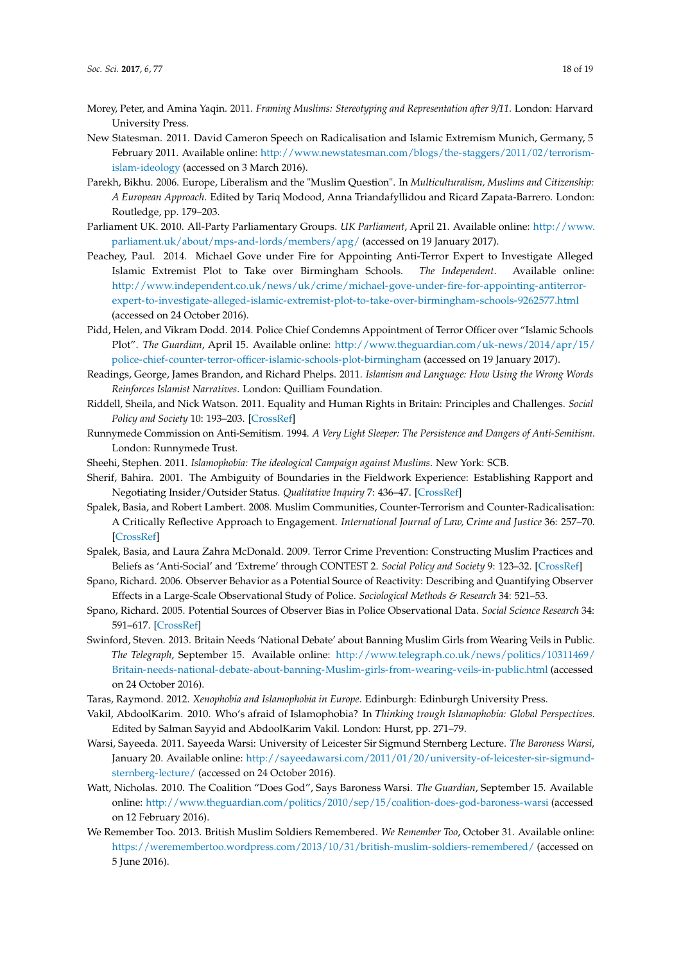- <span id="page-17-1"></span>Morey, Peter, and Amina Yaqin. 2011. *Framing Muslims: Stereotyping and Representation after 9/11*. London: Harvard University Press.
- <span id="page-17-19"></span>New Statesman. 2011. David Cameron Speech on Radicalisation and Islamic Extremism Munich, Germany, 5 February 2011. Available online: [http://www.newstatesman.com/blogs/the-staggers/2011/02/terrorism](http://www.newstatesman.com/blogs/the-staggers/2011/02/terrorism-islam-ideology)[islam-ideology](http://www.newstatesman.com/blogs/the-staggers/2011/02/terrorism-islam-ideology) (accessed on 3 March 2016).
- <span id="page-17-15"></span>Parekh, Bikhu. 2006. Europe, Liberalism and the "Muslim Question". In *Multiculturalism, Muslims and Citizenship: A European Approach*. Edited by Tariq Modood, Anna Triandafyllidou and Ricard Zapata-Barrero. London: Routledge, pp. 179–203.
- <span id="page-17-13"></span>Parliament UK. 2010. All-Party Parliamentary Groups. *UK Parliament*, April 21. Available online: [http://www.](http://www.parliament.uk/about/mps-and-lords/members/apg/) [parliament.uk/about/mps-and-lords/members/apg/](http://www.parliament.uk/about/mps-and-lords/members/apg/) (accessed on 19 January 2017).
- <span id="page-17-17"></span>Peachey, Paul. 2014. Michael Gove under Fire for Appointing Anti-Terror Expert to Investigate Alleged Islamic Extremist Plot to Take over Birmingham Schools. *The Independent*. Available online: [http://www.independent.co.uk/news/uk/crime/michael-gove-under-fire-for-appointing-antiterror](http://www.independent.co.uk/news/uk/crime/michael-gove-under-fire-for-appointing-antiterror-expert-to-investigate-alleged-islamic-extremist-plot-to-take-over-birmingham-schools-9262577.html)[expert-to-investigate-alleged-islamic-extremist-plot-to-take-over-birmingham-schools-9262577.html](http://www.independent.co.uk/news/uk/crime/michael-gove-under-fire-for-appointing-antiterror-expert-to-investigate-alleged-islamic-extremist-plot-to-take-over-birmingham-schools-9262577.html) (accessed on 24 October 2016).
- <span id="page-17-18"></span>Pidd, Helen, and Vikram Dodd. 2014. Police Chief Condemns Appointment of Terror Officer over "Islamic Schools Plot". *The Guardian*, April 15. Available online: [http://www.theguardian.com/uk-news/2014/apr/15/](http://www.theguardian.com/uk-news/2014/apr/15/police-chief-counter-terror-officer-islamic-schools-plot-birmingham) [police-chief-counter-terror-officer-islamic-schools-plot-birmingham](http://www.theguardian.com/uk-news/2014/apr/15/police-chief-counter-terror-officer-islamic-schools-plot-birmingham) (accessed on 19 January 2017).
- <span id="page-17-12"></span>Readings, George, James Brandon, and Richard Phelps. 2011. *Islamism and Language: How Using the Wrong Words Reinforces Islamist Narratives*. London: Quilliam Foundation.
- <span id="page-17-10"></span>Riddell, Sheila, and Nick Watson. 2011. Equality and Human Rights in Britain: Principles and Challenges. *Social Policy and Society* 10: 193–203. [\[CrossRef\]](http://dx.doi.org/10.1017/S1474746410000540)
- <span id="page-17-8"></span>Runnymede Commission on Anti-Semitism. 1994. *A Very Light Sleeper: The Persistence and Dangers of Anti-Semitism*. London: Runnymede Trust.
- <span id="page-17-5"></span>Sheehi, Stephen. 2011. *Islamophobia: The ideological Campaign against Muslims*. New York: SCB.
- <span id="page-17-4"></span>Sherif, Bahira. 2001. The Ambiguity of Boundaries in the Fieldwork Experience: Establishing Rapport and Negotiating Insider/Outsider Status. *Qualitative Inquiry* 7: 436–47. [\[CrossRef\]](http://dx.doi.org/10.1177/107780040100700403)
- <span id="page-17-20"></span>Spalek, Basia, and Robert Lambert. 2008. Muslim Communities, Counter-Terrorism and Counter-Radicalisation: A Critically Reflective Approach to Engagement. *International Journal of Law, Crime and Justice* 36: 257–70. [\[CrossRef\]](http://dx.doi.org/10.1016/j.ijlcj.2008.08.004)
- <span id="page-17-9"></span>Spalek, Basia, and Laura Zahra McDonald. 2009. Terror Crime Prevention: Constructing Muslim Practices and Beliefs as 'Anti-Social' and 'Extreme' through CONTEST 2. *Social Policy and Society* 9: 123–32. [\[CrossRef\]](http://dx.doi.org/10.1017/S147474640999025X)
- <span id="page-17-3"></span>Spano, Richard. 2006. Observer Behavior as a Potential Source of Reactivity: Describing and Quantifying Observer Effects in a Large-Scale Observational Study of Police. *Sociological Methods & Research* 34: 521–53.
- <span id="page-17-2"></span>Spano, Richard. 2005. Potential Sources of Observer Bias in Police Observational Data. *Social Science Research* 34: 591–617. [\[CrossRef\]](http://dx.doi.org/10.1016/j.ssresearch.2004.05.003)
- <span id="page-17-16"></span>Swinford, Steven. 2013. Britain Needs 'National Debate' about Banning Muslim Girls from Wearing Veils in Public. *The Telegraph*, September 15. Available online: [http://www.telegraph.co.uk/news/politics/10311469/](http://www.telegraph.co.uk/news/politics/10311469/Britain-needs-national-debate-about-banning-Muslim-girls-from-wearing-veils-in-public.html) [Britain-needs-national-debate-about-banning-Muslim-girls-from-wearing-veils-in-public.html](http://www.telegraph.co.uk/news/politics/10311469/Britain-needs-national-debate-about-banning-Muslim-girls-from-wearing-veils-in-public.html) (accessed on 24 October 2016).
- <span id="page-17-7"></span><span id="page-17-6"></span>Taras, Raymond. 2012. *Xenophobia and Islamophobia in Europe*. Edinburgh: Edinburgh University Press.
- Vakil, AbdoolKarim. 2010. Who's afraid of Islamophobia? In *Thinking trough Islamophobia: Global Perspectives*. Edited by Salman Sayyid and AbdoolKarim Vakil. London: Hurst, pp. 271–79.
- <span id="page-17-0"></span>Warsi, Sayeeda. 2011. Sayeeda Warsi: University of Leicester Sir Sigmund Sternberg Lecture. *The Baroness Warsi*, January 20. Available online: [http://sayeedawarsi.com/2011/01/20/university-of-leicester-sir-sigmund](http://sayeedawarsi.com/2011/01/20/university-of-leicester-sir-sigmund-sternberg-lecture/)[sternberg-lecture/](http://sayeedawarsi.com/2011/01/20/university-of-leicester-sir-sigmund-sternberg-lecture/) (accessed on 24 October 2016).
- <span id="page-17-11"></span>Watt, Nicholas. 2010. The Coalition "Does God", Says Baroness Warsi. *The Guardian*, September 15. Available online: <http://www.theguardian.com/politics/2010/sep/15/coalition-does-god-baroness-warsi> (accessed on 12 February 2016).
- <span id="page-17-14"></span>We Remember Too. 2013. British Muslim Soldiers Remembered. *We Remember Too*, October 31. Available online: <https://weremembertoo.wordpress.com/2013/10/31/british-muslim-soldiers-remembered/> (accessed on 5 June 2016).